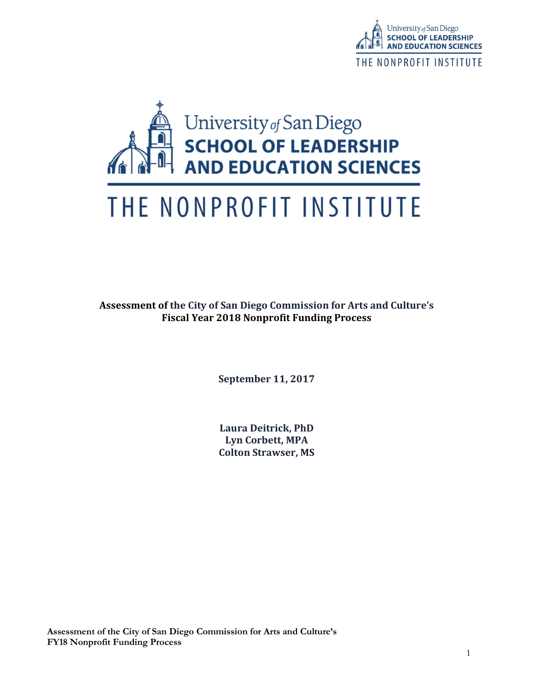



# THE NONPROFIT INSTITUTE

Assessment of the City of San Diego Commission for Arts and Culture's Fiscal Year 2018 Nonprofit Funding Process

September 11, 2017

Laura Deitrick, PhD Lyn Corbett, MPA Colton Strawser, MS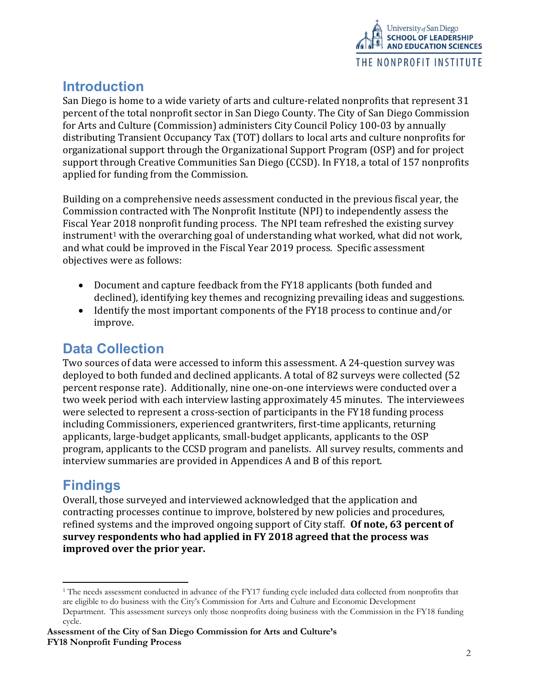

# **Introduction**

San Diego is home to a wide variety of arts and culture-related nonprofits that represent 31 percent of the total nonprofit sector in San Diego County. The City of San Diego Commission for Arts and Culture (Commission) administers City Council Policy 100-03 by annually distributing Transient Occupancy Tax (TOT) dollars to local arts and culture nonprofits for organizational support through the Organizational Support Program (OSP) and for project support through Creative Communities San Diego (CCSD). In FY18, a total of 157 nonprofits applied for funding from the Commission.

Building on a comprehensive needs assessment conducted in the previous fiscal year, the Commission contracted with The Nonprofit Institute (NPI) to independently assess the Fiscal Year 2018 nonprofit funding process. The NPI team refreshed the existing survey  $instrument<sup>1</sup>$  with the overarching goal of understanding what worked, what did not work, and what could be improved in the Fiscal Year 2019 process. Specific assessment objectives were as follows:

- Document and capture feedback from the FY18 applicants (both funded and declined), identifying key themes and recognizing prevailing ideas and suggestions.
- Identify the most important components of the FY18 process to continue and/or improve.

# Data Collection

Two sources of data were accessed to inform this assessment. A 24-question survey was deployed to both funded and declined applicants. A total of 82 surveys were collected (52 percent response rate). Additionally, nine one-on-one interviews were conducted over a two week period with each interview lasting approximately 45 minutes. The interviewees were selected to represent a cross-section of participants in the FY18 funding process including Commissioners, experienced grantwriters, first-time applicants, returning applicants, large-budget applicants, small-budget applicants, applicants to the OSP program, applicants to the CCSD program and panelists. All survey results, comments and interview summaries are provided in Appendices A and B of this report.

# Findings

-

Overall, those surveyed and interviewed acknowledged that the application and contracting processes continue to improve, bolstered by new policies and procedures, refined systems and the improved ongoing support of City staff. Of note, 63 percent of survey respondents who had applied in FY 2018 agreed that the process was improved over the prior year.

<sup>&</sup>lt;sup>1</sup> The needs assessment conducted in advance of the FY17 funding cycle included data collected from nonprofits that are eligible to do business with the City's Commission for Arts and Culture and Economic Development Department. This assessment surveys only those nonprofits doing business with the Commission in the FY18 funding cycle.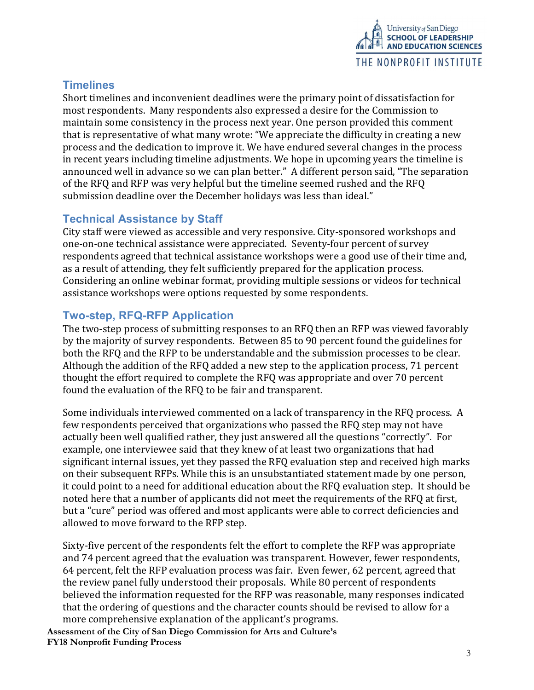

# **Timelines**

Short timelines and inconvenient deadlines were the primary point of dissatisfaction for most respondents. Many respondents also expressed a desire for the Commission to maintain some consistency in the process next year. One person provided this comment that is representative of what many wrote: "We appreciate the difficulty in creating a new process and the dedication to improve it. We have endured several changes in the process in recent years including timeline adjustments. We hope in upcoming years the timeline is announced well in advance so we can plan better." A different person said, "The separation of the RFQ and RFP was very helpful but the timeline seemed rushed and the RFQ submission deadline over the December holidays was less than ideal."

# Technical Assistance by Staff

City staff were viewed as accessible and very responsive. City-sponsored workshops and one-on-one technical assistance were appreciated. Seventy-four percent of survey respondents agreed that technical assistance workshops were a good use of their time and, as a result of attending, they felt sufficiently prepared for the application process. Considering an online webinar format, providing multiple sessions or videos for technical assistance workshops were options requested by some respondents.

# Two-step, RFQ-RFP Application

The two-step process of submitting responses to an RFQ then an RFP was viewed favorably by the majority of survey respondents. Between 85 to 90 percent found the guidelines for both the RFQ and the RFP to be understandable and the submission processes to be clear. Although the addition of the RFQ added a new step to the application process, 71 percent thought the effort required to complete the RFQ was appropriate and over 70 percent found the evaluation of the RFQ to be fair and transparent.

Some individuals interviewed commented on a lack of transparency in the RFQ process. A few respondents perceived that organizations who passed the RFQ step may not have actually been well qualified rather, they just answered all the questions "correctly". For example, one interviewee said that they knew of at least two organizations that had significant internal issues, yet they passed the RFQ evaluation step and received high marks on their subsequent RFPs. While this is an unsubstantiated statement made by one person, it could point to a need for additional education about the RFQ evaluation step. It should be noted here that a number of applicants did not meet the requirements of the RFQ at first, but a "cure" period was offered and most applicants were able to correct deficiencies and allowed to move forward to the RFP step.

Sixty-five percent of the respondents felt the effort to complete the RFP was appropriate and 74 percent agreed that the evaluation was transparent. However, fewer respondents, 64 percent, felt the RFP evaluation process was fair. Even fewer, 62 percent, agreed that the review panel fully understood their proposals. While 80 percent of respondents believed the information requested for the RFP was reasonable, many responses indicated that the ordering of questions and the character counts should be revised to allow for a more comprehensive explanation of the applicant's programs.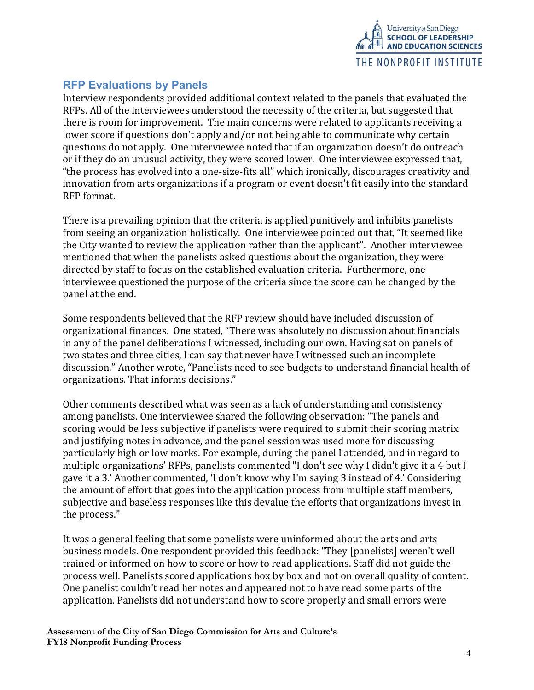

# RFP Evaluations by Panels

Interview respondents provided additional context related to the panels that evaluated the RFPs. All of the interviewees understood the necessity of the criteria, but suggested that there is room for improvement. The main concerns were related to applicants receiving a lower score if questions don't apply and/or not being able to communicate why certain questions do not apply. One interviewee noted that if an organization doesn't do outreach or if they do an unusual activity, they were scored lower. One interviewee expressed that, "the process has evolved into a one-size-fits all" which ironically, discourages creativity and innovation from arts organizations if a program or event doesn't fit easily into the standard RFP format.

There is a prevailing opinion that the criteria is applied punitively and inhibits panelists from seeing an organization holistically. One interviewee pointed out that, "It seemed like the City wanted to review the application rather than the applicant". Another interviewee mentioned that when the panelists asked questions about the organization, they were directed by staff to focus on the established evaluation criteria. Furthermore, one interviewee questioned the purpose of the criteria since the score can be changed by the panel at the end.

Some respondents believed that the RFP review should have included discussion of organizational finances. One stated, "There was absolutely no discussion about financials in any of the panel deliberations I witnessed, including our own. Having sat on panels of two states and three cities, I can say that never have I witnessed such an incomplete discussion." Another wrote, "Panelists need to see budgets to understand financial health of organizations. That informs decisions."

Other comments described what was seen as a lack of understanding and consistency among panelists. One interviewee shared the following observation: "The panels and scoring would be less subjective if panelists were required to submit their scoring matrix and justifying notes in advance, and the panel session was used more for discussing particularly high or low marks. For example, during the panel I attended, and in regard to multiple organizations' RFPs, panelists commented "I don't see why I didn't give it a 4 but I gave it a 3.' Another commented, 'I don't know why I'm saying 3 instead of 4.' Considering the amount of effort that goes into the application process from multiple staff members, subjective and baseless responses like this devalue the efforts that organizations invest in the process."

It was a general feeling that some panelists were uninformed about the arts and arts business models. One respondent provided this feedback: "They [panelists] weren't well trained or informed on how to score or how to read applications. Staff did not guide the process well. Panelists scored applications box by box and not on overall quality of content. One panelist couldn't read her notes and appeared not to have read some parts of the application. Panelists did not understand how to score properly and small errors were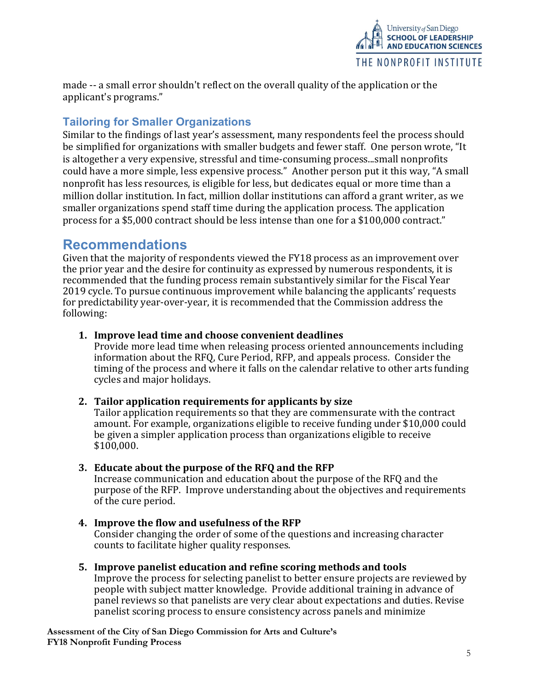

made -- a small error shouldn't reflect on the overall quality of the application or the applicant's programs."

# Tailoring for Smaller Organizations

Similar to the findings of last year's assessment, many respondents feel the process should be simplified for organizations with smaller budgets and fewer staff. One person wrote, "It is altogether a very expensive, stressful and time-consuming process...small nonprofits could have a more simple, less expensive process." Another person put it this way, "A small nonprofit has less resources, is eligible for less, but dedicates equal or more time than a million dollar institution. In fact, million dollar institutions can afford a grant writer, as we smaller organizations spend staff time during the application process. The application process for a \$5,000 contract should be less intense than one for a \$100,000 contract."

# Recommendations

Given that the majority of respondents viewed the FY18 process as an improvement over the prior year and the desire for continuity as expressed by numerous respondents, it is recommended that the funding process remain substantively similar for the Fiscal Year 2019 cycle. To pursue continuous improvement while balancing the applicants' requests for predictability year-over-year, it is recommended that the Commission address the following:

### 1. Improve lead time and choose convenient deadlines

Provide more lead time when releasing process oriented announcements including information about the RFQ, Cure Period, RFP, and appeals process. Consider the timing of the process and where it falls on the calendar relative to other arts funding cycles and major holidays.

### 2. Tailor application requirements for applicants by size

Tailor application requirements so that they are commensurate with the contract amount. For example, organizations eligible to receive funding under \$10,000 could be given a simpler application process than organizations eligible to receive \$100,000.

### 3. Educate about the purpose of the RFQ and the RFP

Increase communication and education about the purpose of the RFQ and the purpose of the RFP. Improve understanding about the objectives and requirements of the cure period.

- 4. Improve the flow and usefulness of the RFP Consider changing the order of some of the questions and increasing character counts to facilitate higher quality responses.
- 5. Improve panelist education and refine scoring methods and tools Improve the process for selecting panelist to better ensure projects are reviewed by people with subject matter knowledge. Provide additional training in advance of panel reviews so that panelists are very clear about expectations and duties. Revise panelist scoring process to ensure consistency across panels and minimize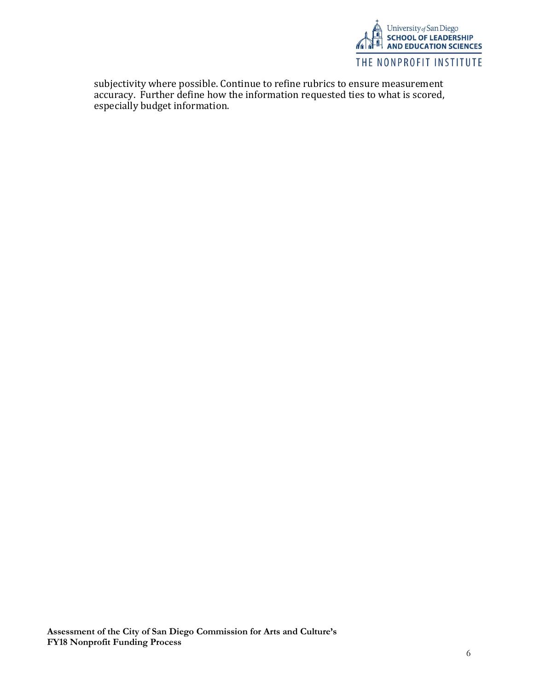

subjectivity where possible. Continue to refine rubrics to ensure measurement accuracy. Further define how the information requested ties to what is scored, especially budget information.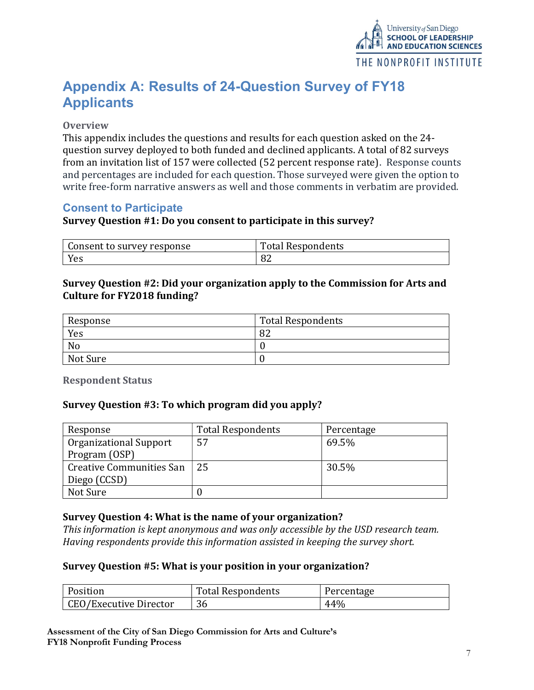

# Appendix A: Results of 24-Question Survey of FY18 **Applicants**

#### **Overview**

This appendix includes the questions and results for each question asked on the 24 question survey deployed to both funded and declined applicants. A total of 82 surveys from an invitation list of 157 were collected (52 percent response rate). Response counts and percentages are included for each question. Those surveyed were given the option to write free-form narrative answers as well and those comments in verbatim are provided.

# Consent to Participate

#### Survey Question #1: Do you consent to participate in this survey?

| Consent to survey response | <b>Total Respondents</b> |
|----------------------------|--------------------------|
| Yes                        | 0Z                       |

#### Survey Question #2: Did your organization apply to the Commission for Arts and Culture for FY2018 funding?

| Response | <b>Total Respondents</b> |
|----------|--------------------------|
| Yes      | o٦<br>OΖ                 |
| No       |                          |
| Not Sure |                          |

Respondent Status

#### Survey Question #3: To which program did you apply?

| Response                 | <b>Total Respondents</b> | Percentage |
|--------------------------|--------------------------|------------|
| Organizational Support   | 57                       | 69.5%      |
| Program (OSP)            |                          |            |
| Creative Communities San | -25                      | 30.5%      |
| Diego (CCSD)             |                          |            |
| Not Sure                 |                          |            |

### Survey Question 4: What is the name of your organization?

This information is kept anonymous and was only accessible by the USD research team. Having respondents provide this information assisted in keeping the survey short.

#### Survey Question #5: What is your position in your organization?

| Position               | <b>Total Respondents</b> | Percentage |
|------------------------|--------------------------|------------|
| CEO/Executive Director |                          | 44%        |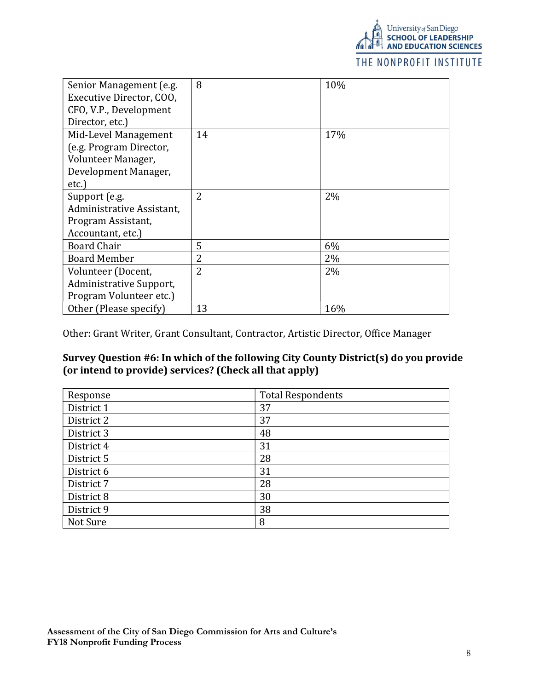

## THE NONPROFIT INSTITUTE

| Senior Management (e.g.<br>Executive Director, COO,<br>CFO, V.P., Development | 8              | 10% |
|-------------------------------------------------------------------------------|----------------|-----|
| Director, etc.)                                                               |                |     |
| Mid-Level Management                                                          | 14             | 17% |
| (e.g. Program Director,                                                       |                |     |
| Volunteer Manager,                                                            |                |     |
| Development Manager,                                                          |                |     |
| etc.)                                                                         |                |     |
| Support (e.g.                                                                 | 2              | 2%  |
| Administrative Assistant,                                                     |                |     |
| Program Assistant,                                                            |                |     |
| Accountant, etc.)                                                             |                |     |
| <b>Board Chair</b>                                                            | 5              | 6%  |
| <b>Board Member</b>                                                           | $\overline{2}$ | 2%  |
| Volunteer (Docent,                                                            | $\overline{2}$ | 2%  |
| Administrative Support,                                                       |                |     |
| Program Volunteer etc.)                                                       |                |     |
| Other (Please specify)                                                        | 13             | 16% |

Other: Grant Writer, Grant Consultant, Contractor, Artistic Director, Office Manager

# Survey Question #6: In which of the following City County District(s) do you provide (or intend to provide) services? (Check all that apply)

| Response   | <b>Total Respondents</b> |
|------------|--------------------------|
| District 1 | 37                       |
| District 2 | 37                       |
| District 3 | 48                       |
| District 4 | 31                       |
| District 5 | 28                       |
| District 6 | 31                       |
| District 7 | 28                       |
| District 8 | 30                       |
| District 9 | 38                       |
| Not Sure   | 8                        |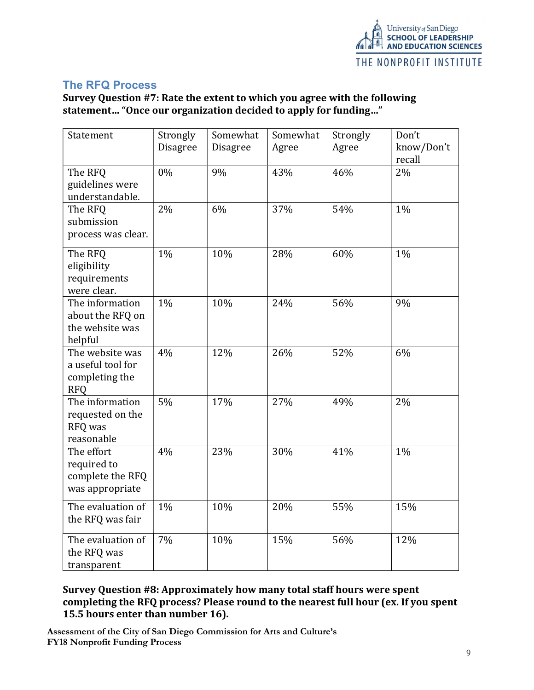

# The RFQ Process

Survey Question #7: Rate the extent to which you agree with the following statement… "Once our organization decided to apply for funding…"

| Statement                                                            | Strongly<br>Disagree | Somewhat<br><b>Disagree</b> | Somewhat<br>Agree | Strongly<br>Agree | Don't<br>know/Don't<br>recall |
|----------------------------------------------------------------------|----------------------|-----------------------------|-------------------|-------------------|-------------------------------|
| The RFQ<br>guidelines were<br>understandable.                        | 0%                   | 9%                          | 43%               | 46%               | 2%                            |
| The RFQ<br>submission<br>process was clear.                          | 2%                   | 6%                          | 37%               | 54%               | $1\%$                         |
| The RFQ<br>eligibility<br>requirements<br>were clear.                | 1%                   | 10%                         | 28%               | 60%               | 1%                            |
| The information<br>about the RFQ on<br>the website was<br>helpful    | 1%                   | 10%                         | 24%               | 56%               | 9%                            |
| The website was<br>a useful tool for<br>completing the<br><b>RFQ</b> | 4%                   | 12%                         | 26%               | 52%               | 6%                            |
| The information<br>requested on the<br>RFQ was<br>reasonable         | 5%                   | 17%                         | 27%               | 49%               | 2%                            |
| The effort<br>required to<br>complete the RFQ<br>was appropriate     | 4%                   | 23%                         | 30%               | 41%               | 1%                            |
| The evaluation of<br>the RFQ was fair                                | 1%                   | 10%                         | 20%               | 55%               | 15%                           |
| The evaluation of<br>the RFQ was<br>transparent                      | 7%                   | 10%                         | 15%               | 56%               | 12%                           |

# Survey Question #8: Approximately how many total staff hours were spent completing the RFQ process? Please round to the nearest full hour (ex. If you spent 15.5 hours enter than number 16).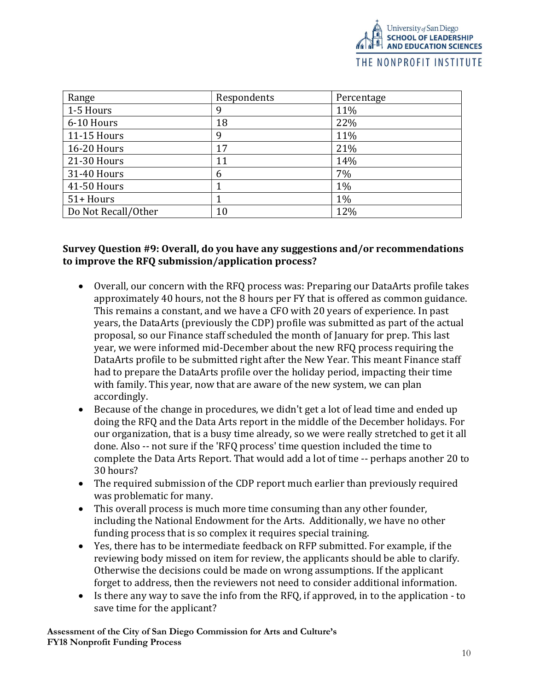| Range               | Respondents | Percentage |
|---------------------|-------------|------------|
| 1-5 Hours           | 9           | 11%        |
| 6-10 Hours          | 18          | 22%        |
| 11-15 Hours         | 9           | 11%        |
| 16-20 Hours         | 17          | 21%        |
| 21-30 Hours         | 11          | 14%        |
| 31-40 Hours         | 6           | 7%         |
| 41-50 Hours         |             | $1\%$      |
| 51+ Hours           |             | $1\%$      |
| Do Not Recall/Other | 10          | 12%        |

## Survey Question #9: Overall, do you have any suggestions and/or recommendations to improve the RFQ submission/application process?

- Overall, our concern with the RFQ process was: Preparing our DataArts profile takes approximately 40 hours, not the 8 hours per FY that is offered as common guidance. This remains a constant, and we have a CFO with 20 years of experience. In past years, the DataArts (previously the CDP) profile was submitted as part of the actual proposal, so our Finance staff scheduled the month of January for prep. This last year, we were informed mid-December about the new RFQ process requiring the DataArts profile to be submitted right after the New Year. This meant Finance staff had to prepare the DataArts profile over the holiday period, impacting their time with family. This year, now that are aware of the new system, we can plan accordingly.
- Because of the change in procedures, we didn't get a lot of lead time and ended up doing the RFQ and the Data Arts report in the middle of the December holidays. For our organization, that is a busy time already, so we were really stretched to get it all done. Also -- not sure if the 'RFQ process' time question included the time to complete the Data Arts Report. That would add a lot of time -- perhaps another 20 to 30 hours?
- The required submission of the CDP report much earlier than previously required was problematic for many.
- This overall process is much more time consuming than any other founder, including the National Endowment for the Arts. Additionally, we have no other funding process that is so complex it requires special training.
- Yes, there has to be intermediate feedback on RFP submitted. For example, if the reviewing body missed on item for review, the applicants should be able to clarify. Otherwise the decisions could be made on wrong assumptions. If the applicant forget to address, then the reviewers not need to consider additional information.
- Is there any way to save the info from the RFQ, if approved, in to the application to save time for the applicant?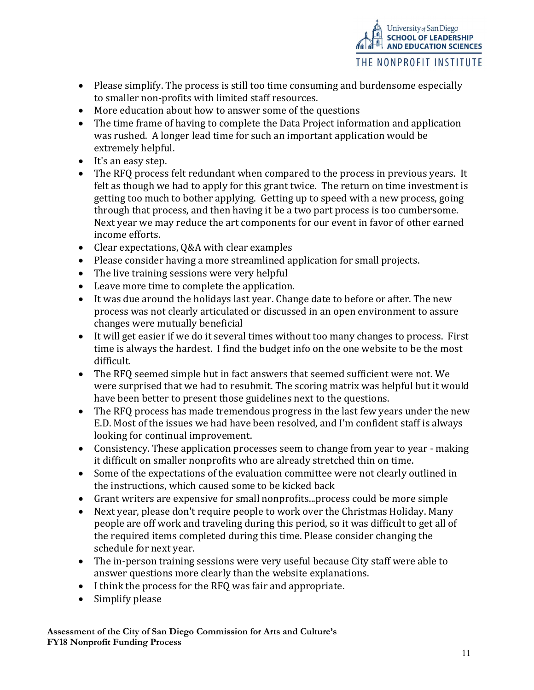

- Please simplify. The process is still too time consuming and burdensome especially to smaller non-profits with limited staff resources.
- More education about how to answer some of the questions
- The time frame of having to complete the Data Project information and application was rushed. A longer lead time for such an important application would be extremely helpful.
- It's an easy step.
- The RFQ process felt redundant when compared to the process in previous years. It felt as though we had to apply for this grant twice. The return on time investment is getting too much to bother applying. Getting up to speed with a new process, going through that process, and then having it be a two part process is too cumbersome. Next year we may reduce the art components for our event in favor of other earned income efforts.
- Clear expectations, Q&A with clear examples
- Please consider having a more streamlined application for small projects.
- The live training sessions were very helpful
- Leave more time to complete the application.
- It was due around the holidays last year. Change date to before or after. The new process was not clearly articulated or discussed in an open environment to assure changes were mutually beneficial
- It will get easier if we do it several times without too many changes to process. First time is always the hardest. I find the budget info on the one website to be the most difficult.
- The RFQ seemed simple but in fact answers that seemed sufficient were not. We were surprised that we had to resubmit. The scoring matrix was helpful but it would have been better to present those guidelines next to the questions.
- The RFQ process has made tremendous progress in the last few years under the new E.D. Most of the issues we had have been resolved, and I'm confident staff is always looking for continual improvement.
- Consistency. These application processes seem to change from year to year making it difficult on smaller nonprofits who are already stretched thin on time.
- Some of the expectations of the evaluation committee were not clearly outlined in the instructions, which caused some to be kicked back
- Grant writers are expensive for small nonprofits...process could be more simple
- Next year, please don't require people to work over the Christmas Holiday. Many people are off work and traveling during this period, so it was difficult to get all of the required items completed during this time. Please consider changing the schedule for next year.
- The in-person training sessions were very useful because City staff were able to answer questions more clearly than the website explanations.
- I think the process for the RFQ was fair and appropriate.
- Simplify please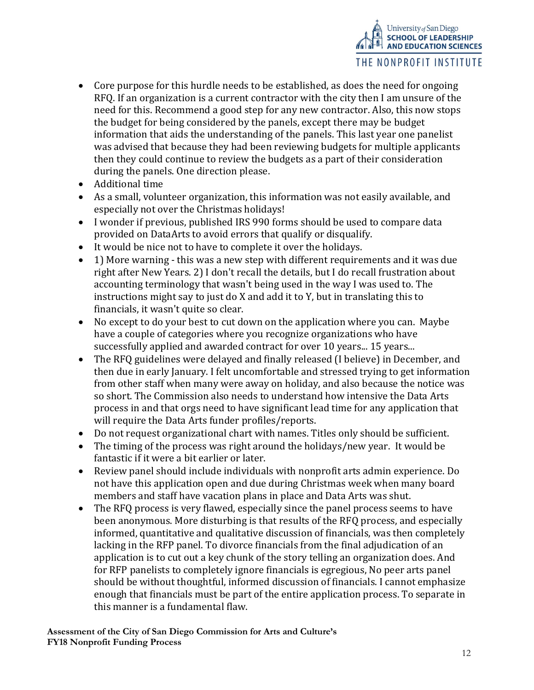

- Core purpose for this hurdle needs to be established, as does the need for ongoing RFQ. If an organization is a current contractor with the city then I am unsure of the need for this. Recommend a good step for any new contractor. Also, this now stops the budget for being considered by the panels, except there may be budget information that aids the understanding of the panels. This last year one panelist was advised that because they had been reviewing budgets for multiple applicants then they could continue to review the budgets as a part of their consideration during the panels. One direction please.
- Additional time
- As a small, volunteer organization, this information was not easily available, and especially not over the Christmas holidays!
- I wonder if previous, published IRS 990 forms should be used to compare data provided on DataArts to avoid errors that qualify or disqualify.
- It would be nice not to have to complete it over the holidays.
- 1) More warning this was a new step with different requirements and it was due right after New Years. 2) I don't recall the details, but I do recall frustration about accounting terminology that wasn't being used in the way I was used to. The instructions might say to just do X and add it to Y, but in translating this to financials, it wasn't quite so clear.
- No except to do your best to cut down on the application where you can. Maybe have a couple of categories where you recognize organizations who have successfully applied and awarded contract for over 10 years... 15 years...
- The RFQ guidelines were delayed and finally released (I believe) in December, and then due in early January. I felt uncomfortable and stressed trying to get information from other staff when many were away on holiday, and also because the notice was so short. The Commission also needs to understand how intensive the Data Arts process in and that orgs need to have significant lead time for any application that will require the Data Arts funder profiles/reports.
- Do not request organizational chart with names. Titles only should be sufficient.
- The timing of the process was right around the holidays/new year. It would be fantastic if it were a bit earlier or later.
- Review panel should include individuals with nonprofit arts admin experience. Do not have this application open and due during Christmas week when many board members and staff have vacation plans in place and Data Arts was shut.
- The RFQ process is very flawed, especially since the panel process seems to have been anonymous. More disturbing is that results of the RFQ process, and especially informed, quantitative and qualitative discussion of financials, was then completely lacking in the RFP panel. To divorce financials from the final adjudication of an application is to cut out a key chunk of the story telling an organization does. And for RFP panelists to completely ignore financials is egregious, No peer arts panel should be without thoughtful, informed discussion of financials. I cannot emphasize enough that financials must be part of the entire application process. To separate in this manner is a fundamental flaw.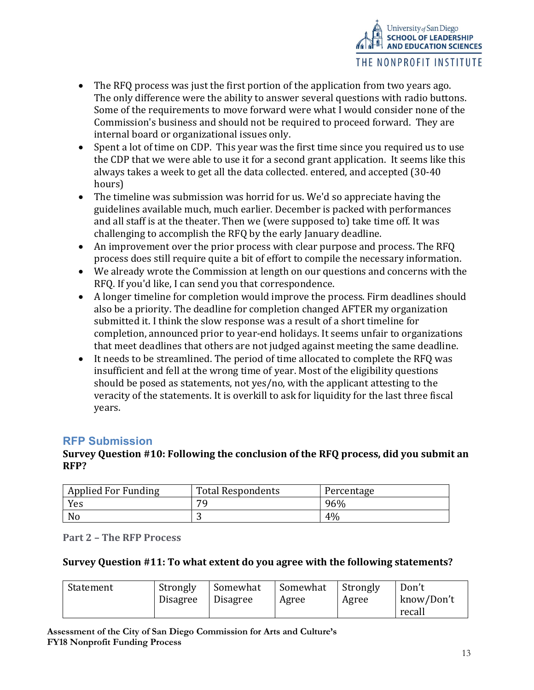

- The RFQ process was just the first portion of the application from two years ago. The only difference were the ability to answer several questions with radio buttons. Some of the requirements to move forward were what I would consider none of the Commission's business and should not be required to proceed forward. They are internal board or organizational issues only.
- Spent a lot of time on CDP. This year was the first time since you required us to use the CDP that we were able to use it for a second grant application. It seems like this always takes a week to get all the data collected. entered, and accepted (30-40 hours)
- The timeline was submission was horrid for us. We'd so appreciate having the guidelines available much, much earlier. December is packed with performances and all staff is at the theater. Then we (were supposed to) take time off. It was challenging to accomplish the RFQ by the early January deadline.
- An improvement over the prior process with clear purpose and process. The RFQ process does still require quite a bit of effort to compile the necessary information.
- We already wrote the Commission at length on our questions and concerns with the RFQ. If you'd like, I can send you that correspondence.
- A longer timeline for completion would improve the process. Firm deadlines should also be a priority. The deadline for completion changed AFTER my organization submitted it. I think the slow response was a result of a short timeline for completion, announced prior to year-end holidays. It seems unfair to organizations that meet deadlines that others are not judged against meeting the same deadline.
- It needs to be streamlined. The period of time allocated to complete the RFQ was insufficient and fell at the wrong time of year. Most of the eligibility questions should be posed as statements, not yes/no, with the applicant attesting to the veracity of the statements. It is overkill to ask for liquidity for the last three fiscal years.

# RFP Submission

# Survey Question #10: Following the conclusion of the RFQ process, did you submit an RFP?

| <b>Applied For Funding</b> | <b>Total Respondents</b> | Percentage |
|----------------------------|--------------------------|------------|
| Yes                        | 70                       | 96%        |
| No                         |                          | 4%         |

Part 2 – The RFP Process

### Survey Question #11: To what extent do you agree with the following statements?

| Statement | Strongly        | Somewhat        | Somewhat | Strongly | Don't      |
|-----------|-----------------|-----------------|----------|----------|------------|
|           | <b>Disagree</b> | <b>Disagree</b> | Agree    | Agree    | know/Don't |
|           |                 |                 |          |          | recall     |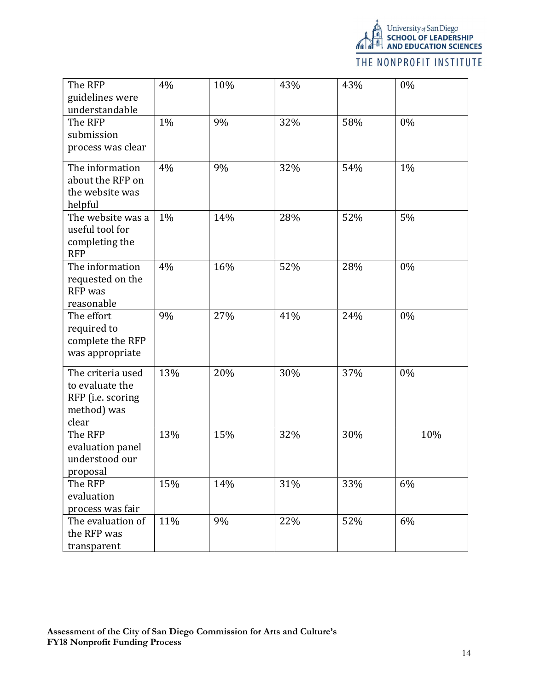

# THE NONPROFIT INSTITUTE

| The RFP<br>guidelines were<br>understandable                                      | 4%  | 10% | 43% | 43% | 0%  |
|-----------------------------------------------------------------------------------|-----|-----|-----|-----|-----|
| The RFP<br>submission<br>process was clear                                        | 1%  | 9%  | 32% | 58% | 0%  |
| The information<br>about the RFP on<br>the website was<br>helpful                 | 4%  | 9%  | 32% | 54% | 1%  |
| The website was a<br>useful tool for<br>completing the<br><b>RFP</b>              | 1%  | 14% | 28% | 52% | 5%  |
| The information<br>requested on the<br>RFP was<br>reasonable                      | 4%  | 16% | 52% | 28% | 0%  |
| The effort<br>required to<br>complete the RFP<br>was appropriate                  | 9%  | 27% | 41% | 24% | 0%  |
| The criteria used<br>to evaluate the<br>RFP (i.e. scoring<br>method) was<br>clear | 13% | 20% | 30% | 37% | 0%  |
| The RFP<br>evaluation panel<br>understood our<br>proposal                         | 13% | 15% | 32% | 30% | 10% |
| The RFP<br>evaluation<br>process was fair                                         | 15% | 14% | 31% | 33% | 6%  |
| The evaluation of<br>the RFP was<br>transparent                                   | 11% | 9%  | 22% | 52% | 6%  |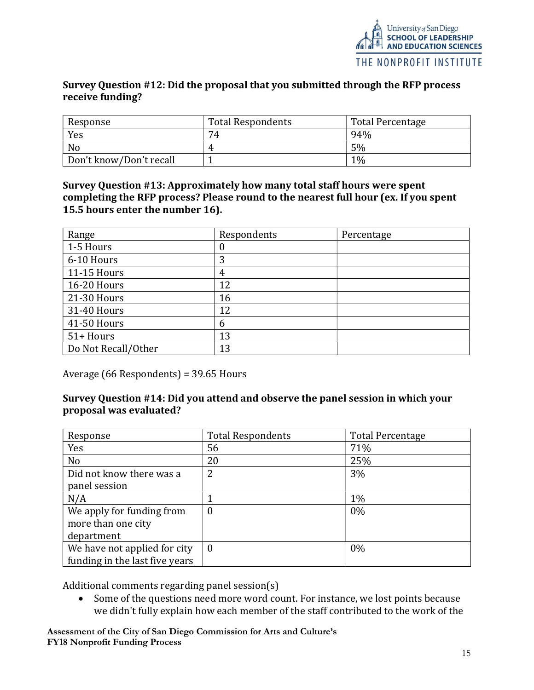## Survey Question #12: Did the proposal that you submitted through the RFP process receive funding?

| Response                | <b>Total Respondents</b> | Total Percentage |
|-------------------------|--------------------------|------------------|
| Yes                     | 74                       | 94%              |
| No                      |                          | 5%               |
| Don't know/Don't recall |                          | $1\%$            |

Survey Question #13: Approximately how many total staff hours were spent completing the RFP process? Please round to the nearest full hour (ex. If you spent 15.5 hours enter the number 16).

| Range               | Respondents | Percentage |
|---------------------|-------------|------------|
| 1-5 Hours           | 0           |            |
| 6-10 Hours          | 3           |            |
| 11-15 Hours         | 4           |            |
| 16-20 Hours         | 12          |            |
| 21-30 Hours         | 16          |            |
| 31-40 Hours         | 12          |            |
| 41-50 Hours         | 6           |            |
| 51+ Hours           | 13          |            |
| Do Not Recall/Other | 13          |            |

Average (66 Respondents) = 39.65 Hours

# Survey Question #14: Did you attend and observe the panel session in which your proposal was evaluated?

| Response                       | <b>Total Respondents</b> | <b>Total Percentage</b> |
|--------------------------------|--------------------------|-------------------------|
| Yes                            | 56                       | 71%                     |
| N <sub>o</sub>                 | 20                       | 25%                     |
| Did not know there was a       | 2                        | 3%                      |
| panel session                  |                          |                         |
| N/A                            |                          | 1%                      |
| We apply for funding from      | $\boldsymbol{0}$         | 0%                      |
| more than one city             |                          |                         |
| department                     |                          |                         |
| We have not applied for city   | $\bf{0}$                 | 0%                      |
| funding in the last five years |                          |                         |

Additional comments regarding panel session(s)

 Some of the questions need more word count. For instance, we lost points because we didn't fully explain how each member of the staff contributed to the work of the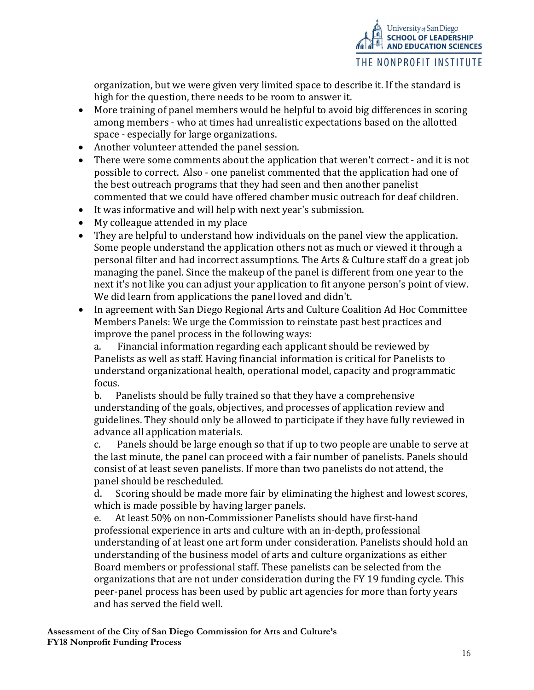

organization, but we were given very limited space to describe it. If the standard is high for the question, there needs to be room to answer it.

- More training of panel members would be helpful to avoid big differences in scoring among members - who at times had unrealistic expectations based on the allotted space - especially for large organizations.
- Another volunteer attended the panel session.
- There were some comments about the application that weren't correct and it is not possible to correct. Also - one panelist commented that the application had one of the best outreach programs that they had seen and then another panelist commented that we could have offered chamber music outreach for deaf children.
- It was informative and will help with next year's submission.
- My colleague attended in my place
- They are helpful to understand how individuals on the panel view the application. Some people understand the application others not as much or viewed it through a personal filter and had incorrect assumptions. The Arts & Culture staff do a great job managing the panel. Since the makeup of the panel is different from one year to the next it's not like you can adjust your application to fit anyone person's point of view. We did learn from applications the panel loved and didn't.
- In agreement with San Diego Regional Arts and Culture Coalition Ad Hoc Committee Members Panels: We urge the Commission to reinstate past best practices and improve the panel process in the following ways:

a. Financial information regarding each applicant should be reviewed by Panelists as well as staff. Having financial information is critical for Panelists to understand organizational health, operational model, capacity and programmatic focus.

b. Panelists should be fully trained so that they have a comprehensive understanding of the goals, objectives, and processes of application review and guidelines. They should only be allowed to participate if they have fully reviewed in advance all application materials.

c. Panels should be large enough so that if up to two people are unable to serve at the last minute, the panel can proceed with a fair number of panelists. Panels should consist of at least seven panelists. If more than two panelists do not attend, the panel should be rescheduled.

d. Scoring should be made more fair by eliminating the highest and lowest scores, which is made possible by having larger panels.

e. At least 50% on non-Commissioner Panelists should have first-hand professional experience in arts and culture with an in-depth, professional understanding of at least one art form under consideration. Panelists should hold an understanding of the business model of arts and culture organizations as either Board members or professional staff. These panelists can be selected from the organizations that are not under consideration during the FY 19 funding cycle. This peer-panel process has been used by public art agencies for more than forty years and has served the field well.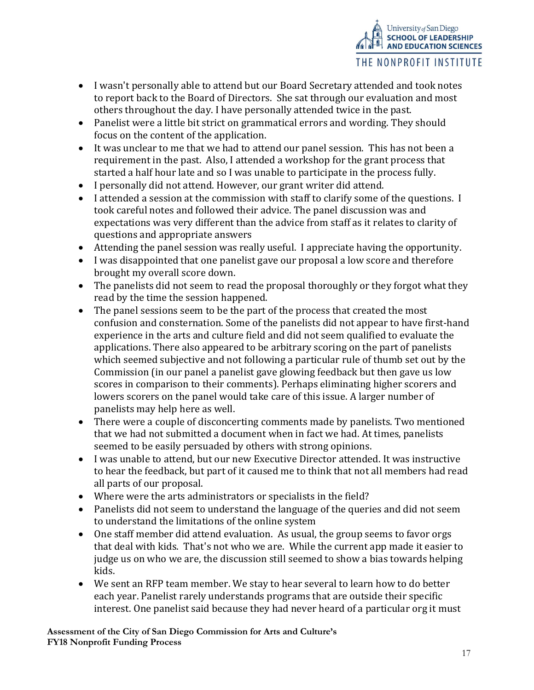

- I wasn't personally able to attend but our Board Secretary attended and took notes to report back to the Board of Directors. She sat through our evaluation and most others throughout the day. I have personally attended twice in the past.
- Panelist were a little bit strict on grammatical errors and wording. They should focus on the content of the application.
- It was unclear to me that we had to attend our panel session. This has not been a requirement in the past. Also, I attended a workshop for the grant process that started a half hour late and so I was unable to participate in the process fully.
- I personally did not attend. However, our grant writer did attend.
- I attended a session at the commission with staff to clarify some of the questions. I took careful notes and followed their advice. The panel discussion was and expectations was very different than the advice from staff as it relates to clarity of questions and appropriate answers
- Attending the panel session was really useful. I appreciate having the opportunity.
- I was disappointed that one panelist gave our proposal a low score and therefore brought my overall score down.
- The panelists did not seem to read the proposal thoroughly or they forgot what they read by the time the session happened.
- The panel sessions seem to be the part of the process that created the most confusion and consternation. Some of the panelists did not appear to have first-hand experience in the arts and culture field and did not seem qualified to evaluate the applications. There also appeared to be arbitrary scoring on the part of panelists which seemed subjective and not following a particular rule of thumb set out by the Commission (in our panel a panelist gave glowing feedback but then gave us low scores in comparison to their comments). Perhaps eliminating higher scorers and lowers scorers on the panel would take care of this issue. A larger number of panelists may help here as well.
- There were a couple of disconcerting comments made by panelists. Two mentioned that we had not submitted a document when in fact we had. At times, panelists seemed to be easily persuaded by others with strong opinions.
- I was unable to attend, but our new Executive Director attended. It was instructive to hear the feedback, but part of it caused me to think that not all members had read all parts of our proposal.
- Where were the arts administrators or specialists in the field?
- Panelists did not seem to understand the language of the queries and did not seem to understand the limitations of the online system
- One staff member did attend evaluation. As usual, the group seems to favor orgs that deal with kids. That's not who we are. While the current app made it easier to judge us on who we are, the discussion still seemed to show a bias towards helping kids.
- We sent an RFP team member. We stay to hear several to learn how to do better each year. Panelist rarely understands programs that are outside their specific interest. One panelist said because they had never heard of a particular org it must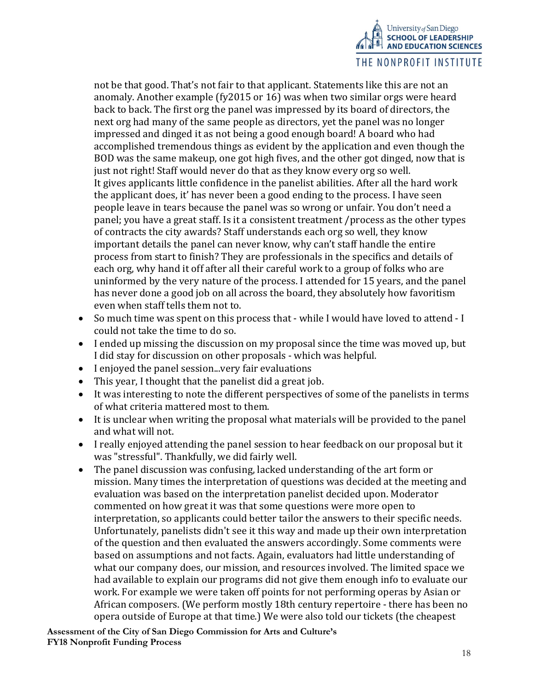

not be that good. That's not fair to that applicant. Statements like this are not an anomaly. Another example (fy2015 or 16) was when two similar orgs were heard back to back. The first org the panel was impressed by its board of directors, the next org had many of the same people as directors, yet the panel was no longer impressed and dinged it as not being a good enough board! A board who had accomplished tremendous things as evident by the application and even though the BOD was the same makeup, one got high fives, and the other got dinged, now that is just not right! Staff would never do that as they know every org so well. It gives applicants little confidence in the panelist abilities. After all the hard work the applicant does, it' has never been a good ending to the process. I have seen people leave in tears because the panel was so wrong or unfair. You don't need a panel; you have a great staff. Is it a consistent treatment /process as the other types of contracts the city awards? Staff understands each org so well, they know important details the panel can never know, why can't staff handle the entire process from start to finish? They are professionals in the specifics and details of each org, why hand it off after all their careful work to a group of folks who are uninformed by the very nature of the process. I attended for 15 years, and the panel has never done a good job on all across the board, they absolutely how favoritism even when staff tells them not to.

- So much time was spent on this process that while I would have loved to attend I could not take the time to do so.
- I ended up missing the discussion on my proposal since the time was moved up, but I did stay for discussion on other proposals - which was helpful.
- I enjoyed the panel session...very fair evaluations
- This year, I thought that the panelist did a great job.
- It was interesting to note the different perspectives of some of the panelists in terms of what criteria mattered most to them.
- It is unclear when writing the proposal what materials will be provided to the panel and what will not.
- I really enjoyed attending the panel session to hear feedback on our proposal but it was "stressful". Thankfully, we did fairly well.
- The panel discussion was confusing, lacked understanding of the art form or mission. Many times the interpretation of questions was decided at the meeting and evaluation was based on the interpretation panelist decided upon. Moderator commented on how great it was that some questions were more open to interpretation, so applicants could better tailor the answers to their specific needs. Unfortunately, panelists didn't see it this way and made up their own interpretation of the question and then evaluated the answers accordingly. Some comments were based on assumptions and not facts. Again, evaluators had little understanding of what our company does, our mission, and resources involved. The limited space we had available to explain our programs did not give them enough info to evaluate our work. For example we were taken off points for not performing operas by Asian or African composers. (We perform mostly 18th century repertoire - there has been no opera outside of Europe at that time.) We were also told our tickets (the cheapest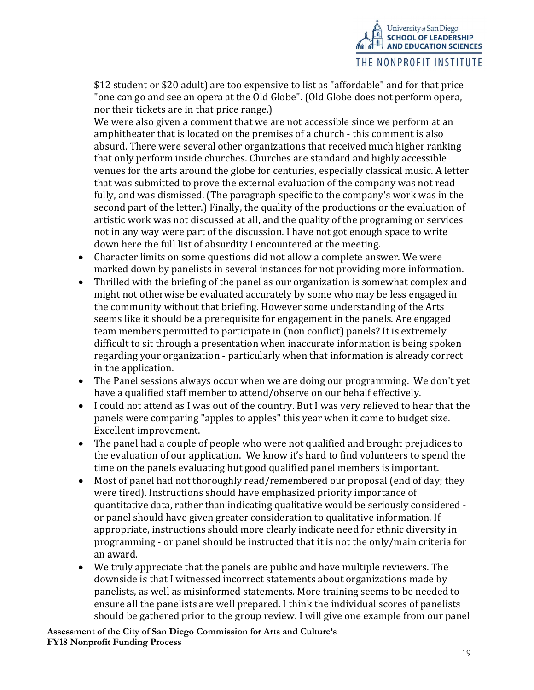

\$12 student or \$20 adult) are too expensive to list as "affordable" and for that price "one can go and see an opera at the Old Globe". (Old Globe does not perform opera, nor their tickets are in that price range.)

We were also given a comment that we are not accessible since we perform at an amphitheater that is located on the premises of a church - this comment is also absurd. There were several other organizations that received much higher ranking that only perform inside churches. Churches are standard and highly accessible venues for the arts around the globe for centuries, especially classical music. A letter that was submitted to prove the external evaluation of the company was not read fully, and was dismissed. (The paragraph specific to the company's work was in the second part of the letter.) Finally, the quality of the productions or the evaluation of artistic work was not discussed at all, and the quality of the programing or services not in any way were part of the discussion. I have not got enough space to write down here the full list of absurdity I encountered at the meeting.

- Character limits on some questions did not allow a complete answer. We were marked down by panelists in several instances for not providing more information.
- Thrilled with the briefing of the panel as our organization is somewhat complex and might not otherwise be evaluated accurately by some who may be less engaged in the community without that briefing. However some understanding of the Arts seems like it should be a prerequisite for engagement in the panels. Are engaged team members permitted to participate in (non conflict) panels? It is extremely difficult to sit through a presentation when inaccurate information is being spoken regarding your organization - particularly when that information is already correct in the application.
- The Panel sessions always occur when we are doing our programming. We don't yet have a qualified staff member to attend/observe on our behalf effectively.
- I could not attend as I was out of the country. But I was very relieved to hear that the panels were comparing "apples to apples" this year when it came to budget size. Excellent improvement.
- The panel had a couple of people who were not qualified and brought prejudices to the evaluation of our application. We know it's hard to find volunteers to spend the time on the panels evaluating but good qualified panel members is important.
- Most of panel had not thoroughly read/remembered our proposal (end of day; they were tired). Instructions should have emphasized priority importance of quantitative data, rather than indicating qualitative would be seriously considered or panel should have given greater consideration to qualitative information. If appropriate, instructions should more clearly indicate need for ethnic diversity in programming - or panel should be instructed that it is not the only/main criteria for an award.
- We truly appreciate that the panels are public and have multiple reviewers. The downside is that I witnessed incorrect statements about organizations made by panelists, as well as misinformed statements. More training seems to be needed to ensure all the panelists are well prepared. I think the individual scores of panelists should be gathered prior to the group review. I will give one example from our panel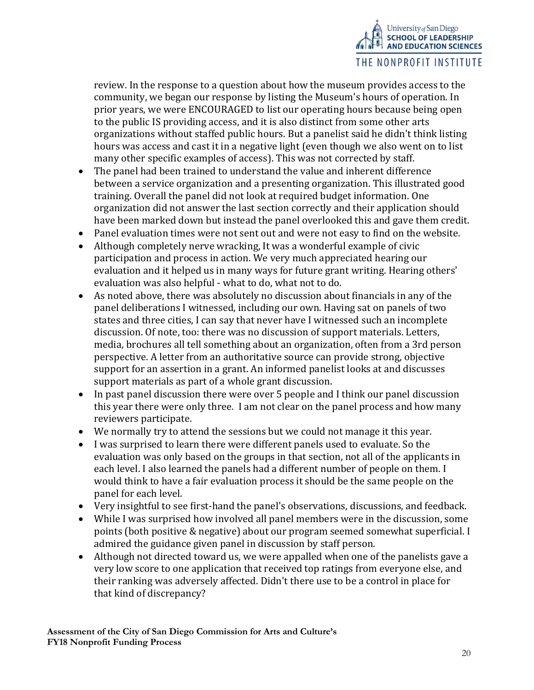

review. In the response to a question about how the museum provides access to the community, we began our response by listing the Museum's hours of operation. In prior years, we were ENCOURAGED to list our operating hours because being open to the public IS providing access, and it is also distinct from some other arts organizations without staffed public hours. But a panelist said he didn't think listing hours was access and cast it in a negative light (even though we also went on to list many other specific examples of access). This was not corrected by staff.

- The panel had been trained to understand the value and inherent difference between a service organization and a presenting organization. This illustrated good training. Overall the panel did not look at required budget information. One organization did not answer the last section correctly and their application should have been marked down but instead the panel overlooked this and gave them credit.
- Panel evaluation times were not sent out and were not easy to find on the website.
- Although completely nerve wracking, It was a wonderful example of civic participation and process in action. We very much appreciated hearing our evaluation and it helped us in many ways for future grant writing. Hearing others' evaluation was also helpful - what to do, what not to do.
- As noted above, there was absolutely no discussion about financials in any of the panel deliberations I witnessed, including our own. Having sat on panels of two states and three cities, I can say that never have I witnessed such an incomplete discussion. Of note, too: there was no discussion of support materials. Letters, media, brochures all tell something about an organization, often from a 3rd person perspective. A letter from an authoritative source can provide strong, objective support for an assertion in a grant. An informed panelist looks at and discusses support materials as part of a whole grant discussion.
- In past panel discussion there were over 5 people and I think our panel discussion this year there were only three. I am not clear on the panel process and how many reviewers participate.
- We normally try to attend the sessions but we could not manage it this year.
- I was surprised to learn there were different panels used to evaluate. So the evaluation was only based on the groups in that section, not all of the applicants in each level. I also learned the panels had a different number of people on them. I would think to have a fair evaluation process it should be the same people on the panel for each level.
- Very insightful to see first-hand the panel's observations, discussions, and feedback.
- While I was surprised how involved all panel members were in the discussion, some points (both positive & negative) about our program seemed somewhat superficial. I admired the guidance given panel in discussion by staff person.
- Although not directed toward us, we were appalled when one of the panelists gave a very low score to one application that received top ratings from everyone else, and their ranking was adversely affected. Didn't there use to be a control in place for that kind of discrepancy?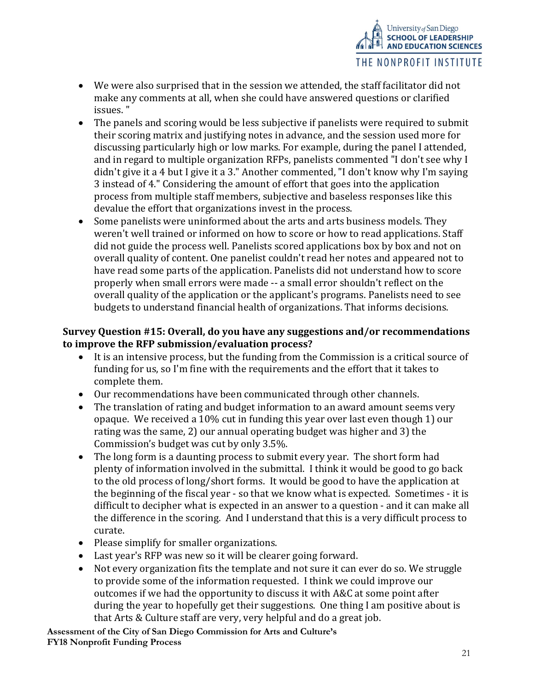

- We were also surprised that in the session we attended, the staff facilitator did not make any comments at all, when she could have answered questions or clarified issues. "
- The panels and scoring would be less subjective if panelists were required to submit their scoring matrix and justifying notes in advance, and the session used more for discussing particularly high or low marks. For example, during the panel I attended, and in regard to multiple organization RFPs, panelists commented "I don't see why I didn't give it a 4 but I give it a 3." Another commented, "I don't know why I'm saying 3 instead of 4." Considering the amount of effort that goes into the application process from multiple staff members, subjective and baseless responses like this devalue the effort that organizations invest in the process.
- Some panelists were uninformed about the arts and arts business models. They weren't well trained or informed on how to score or how to read applications. Staff did not guide the process well. Panelists scored applications box by box and not on overall quality of content. One panelist couldn't read her notes and appeared not to have read some parts of the application. Panelists did not understand how to score properly when small errors were made -- a small error shouldn't reflect on the overall quality of the application or the applicant's programs. Panelists need to see budgets to understand financial health of organizations. That informs decisions.

# Survey Question #15: Overall, do you have any suggestions and/or recommendations to improve the RFP submission/evaluation process?

- It is an intensive process, but the funding from the Commission is a critical source of funding for us, so I'm fine with the requirements and the effort that it takes to complete them.
- Our recommendations have been communicated through other channels.
- The translation of rating and budget information to an award amount seems very opaque. We received a 10% cut in funding this year over last even though 1) our rating was the same, 2) our annual operating budget was higher and 3) the Commission's budget was cut by only 3.5%.
- The long form is a daunting process to submit every year. The short form had plenty of information involved in the submittal. I think it would be good to go back to the old process of long/short forms. It would be good to have the application at the beginning of the fiscal year - so that we know what is expected. Sometimes - it is difficult to decipher what is expected in an answer to a question - and it can make all the difference in the scoring. And I understand that this is a very difficult process to curate.
- Please simplify for smaller organizations.
- Last year's RFP was new so it will be clearer going forward.
- Not every organization fits the template and not sure it can ever do so. We struggle to provide some of the information requested. I think we could improve our outcomes if we had the opportunity to discuss it with A&C at some point after during the year to hopefully get their suggestions. One thing I am positive about is that Arts & Culture staff are very, very helpful and do a great job.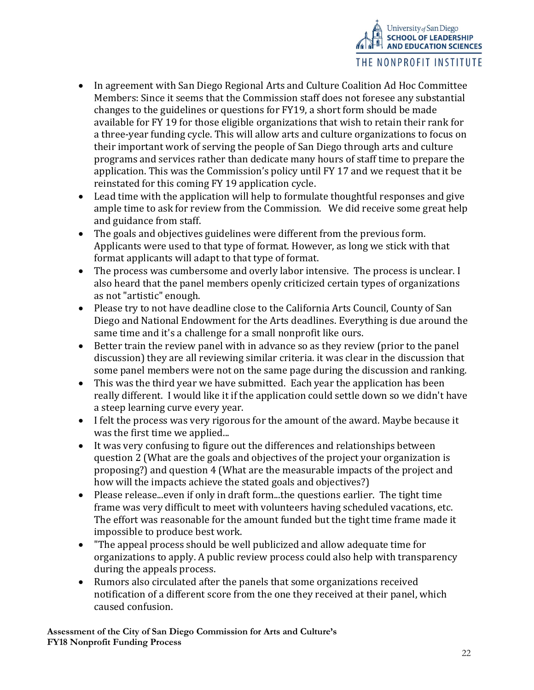

- In agreement with San Diego Regional Arts and Culture Coalition Ad Hoc Committee Members: Since it seems that the Commission staff does not foresee any substantial changes to the guidelines or questions for FY19, a short form should be made available for FY 19 for those eligible organizations that wish to retain their rank for a three-year funding cycle. This will allow arts and culture organizations to focus on their important work of serving the people of San Diego through arts and culture programs and services rather than dedicate many hours of staff time to prepare the application. This was the Commission's policy until FY 17 and we request that it be reinstated for this coming FY 19 application cycle.
- Lead time with the application will help to formulate thoughtful responses and give ample time to ask for review from the Commission. We did receive some great help and guidance from staff.
- The goals and objectives guidelines were different from the previous form. Applicants were used to that type of format. However, as long we stick with that format applicants will adapt to that type of format.
- The process was cumbersome and overly labor intensive. The process is unclear. I also heard that the panel members openly criticized certain types of organizations as not "artistic" enough.
- Please try to not have deadline close to the California Arts Council, County of San Diego and National Endowment for the Arts deadlines. Everything is due around the same time and it's a challenge for a small nonprofit like ours.
- Better train the review panel with in advance so as they review (prior to the panel discussion) they are all reviewing similar criteria. it was clear in the discussion that some panel members were not on the same page during the discussion and ranking.
- This was the third year we have submitted. Each year the application has been really different. I would like it if the application could settle down so we didn't have a steep learning curve every year.
- I felt the process was very rigorous for the amount of the award. Maybe because it was the first time we applied...
- It was very confusing to figure out the differences and relationships between question 2 (What are the goals and objectives of the project your organization is proposing?) and question 4 (What are the measurable impacts of the project and how will the impacts achieve the stated goals and objectives?)
- Please release...even if only in draft form...the questions earlier. The tight time frame was very difficult to meet with volunteers having scheduled vacations, etc. The effort was reasonable for the amount funded but the tight time frame made it impossible to produce best work.
- "The appeal process should be well publicized and allow adequate time for organizations to apply. A public review process could also help with transparency during the appeals process.
- Rumors also circulated after the panels that some organizations received notification of a different score from the one they received at their panel, which caused confusion.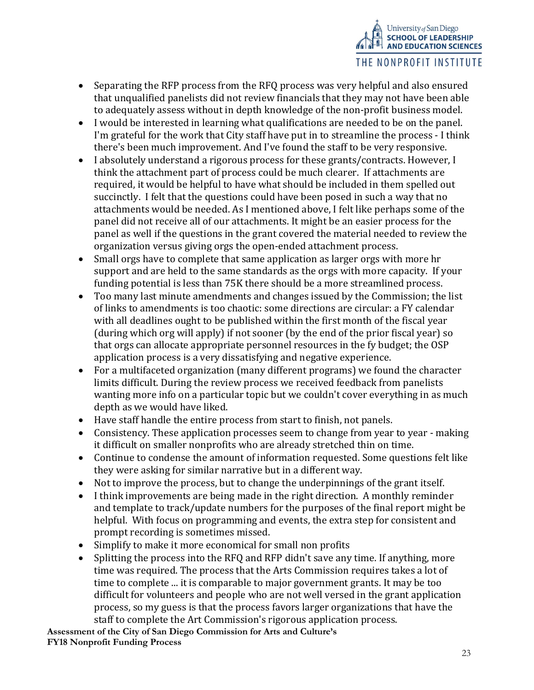

- Separating the RFP process from the RFQ process was very helpful and also ensured that unqualified panelists did not review financials that they may not have been able to adequately assess without in depth knowledge of the non-profit business model.
- I would be interested in learning what qualifications are needed to be on the panel. I'm grateful for the work that City staff have put in to streamline the process - I think there's been much improvement. And I've found the staff to be very responsive.
- I absolutely understand a rigorous process for these grants/contracts. However, I think the attachment part of process could be much clearer. If attachments are required, it would be helpful to have what should be included in them spelled out succinctly. I felt that the questions could have been posed in such a way that no attachments would be needed. As I mentioned above, I felt like perhaps some of the panel did not receive all of our attachments. It might be an easier process for the panel as well if the questions in the grant covered the material needed to review the organization versus giving orgs the open-ended attachment process.
- Small orgs have to complete that same application as larger orgs with more hr support and are held to the same standards as the orgs with more capacity. If your funding potential is less than 75K there should be a more streamlined process.
- Too many last minute amendments and changes issued by the Commission; the list of links to amendments is too chaotic: some directions are circular: a FY calendar with all deadlines ought to be published within the first month of the fiscal year (during which org will apply) if not sooner (by the end of the prior fiscal year) so that orgs can allocate appropriate personnel resources in the fy budget; the OSP application process is a very dissatisfying and negative experience.
- For a multifaceted organization (many different programs) we found the character limits difficult. During the review process we received feedback from panelists wanting more info on a particular topic but we couldn't cover everything in as much depth as we would have liked.
- Have staff handle the entire process from start to finish, not panels.
- Consistency. These application processes seem to change from year to year making it difficult on smaller nonprofits who are already stretched thin on time.
- Continue to condense the amount of information requested. Some questions felt like they were asking for similar narrative but in a different way.
- Not to improve the process, but to change the underpinnings of the grant itself.
- I think improvements are being made in the right direction. A monthly reminder and template to track/update numbers for the purposes of the final report might be helpful. With focus on programming and events, the extra step for consistent and prompt recording is sometimes missed.
- Simplify to make it more economical for small non profits
- Splitting the process into the RFQ and RFP didn't save any time. If anything, more time was required. The process that the Arts Commission requires takes a lot of time to complete ... it is comparable to major government grants. It may be too difficult for volunteers and people who are not well versed in the grant application process, so my guess is that the process favors larger organizations that have the staff to complete the Art Commission's rigorous application process.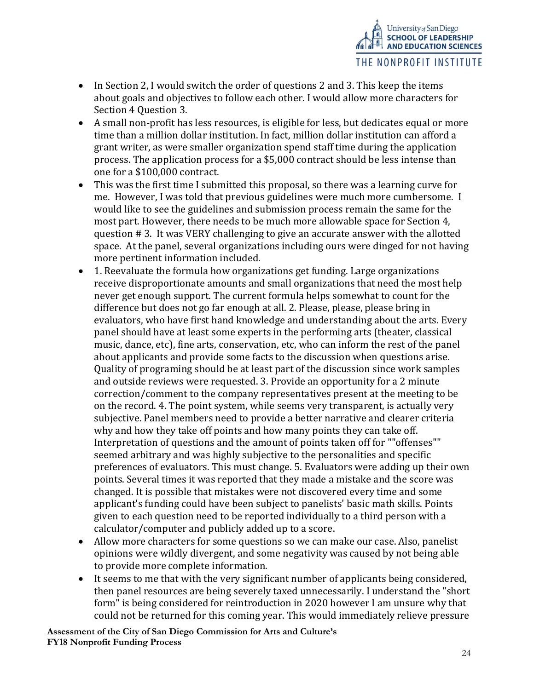

- In Section 2, I would switch the order of questions 2 and 3. This keep the items about goals and objectives to follow each other. I would allow more characters for Section 4 Question 3.
- A small non-profit has less resources, is eligible for less, but dedicates equal or more time than a million dollar institution. In fact, million dollar institution can afford a grant writer, as were smaller organization spend staff time during the application process. The application process for a \$5,000 contract should be less intense than one for a \$100,000 contract.
- This was the first time I submitted this proposal, so there was a learning curve for me. However, I was told that previous guidelines were much more cumbersome. I would like to see the guidelines and submission process remain the same for the most part. However, there needs to be much more allowable space for Section 4, question # 3. It was VERY challenging to give an accurate answer with the allotted space. At the panel, several organizations including ours were dinged for not having more pertinent information included.
- 1. Reevaluate the formula how organizations get funding. Large organizations receive disproportionate amounts and small organizations that need the most help never get enough support. The current formula helps somewhat to count for the difference but does not go far enough at all. 2. Please, please, please bring in evaluators, who have first hand knowledge and understanding about the arts. Every panel should have at least some experts in the performing arts (theater, classical music, dance, etc), fine arts, conservation, etc, who can inform the rest of the panel about applicants and provide some facts to the discussion when questions arise. Quality of programing should be at least part of the discussion since work samples and outside reviews were requested. 3. Provide an opportunity for a 2 minute correction/comment to the company representatives present at the meeting to be on the record. 4. The point system, while seems very transparent, is actually very subjective. Panel members need to provide a better narrative and clearer criteria why and how they take off points and how many points they can take off. Interpretation of questions and the amount of points taken off for ""offenses"" seemed arbitrary and was highly subjective to the personalities and specific preferences of evaluators. This must change. 5. Evaluators were adding up their own points. Several times it was reported that they made a mistake and the score was changed. It is possible that mistakes were not discovered every time and some applicant's funding could have been subject to panelists' basic math skills. Points given to each question need to be reported individually to a third person with a calculator/computer and publicly added up to a score.
- Allow more characters for some questions so we can make our case. Also, panelist opinions were wildly divergent, and some negativity was caused by not being able to provide more complete information.
- It seems to me that with the very significant number of applicants being considered, then panel resources are being severely taxed unnecessarily. I understand the "short form" is being considered for reintroduction in 2020 however I am unsure why that could not be returned for this coming year. This would immediately relieve pressure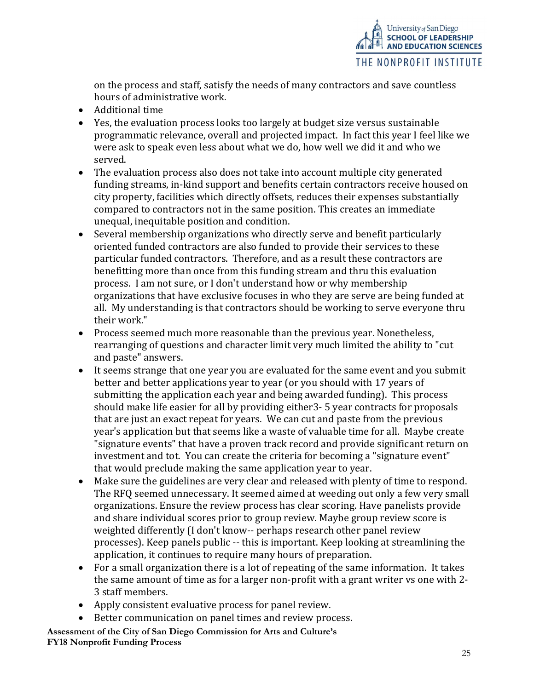

on the process and staff, satisfy the needs of many contractors and save countless hours of administrative work.

- Additional time
- Yes, the evaluation process looks too largely at budget size versus sustainable programmatic relevance, overall and projected impact. In fact this year I feel like we were ask to speak even less about what we do, how well we did it and who we served.
- The evaluation process also does not take into account multiple city generated funding streams, in-kind support and benefits certain contractors receive housed on city property, facilities which directly offsets, reduces their expenses substantially compared to contractors not in the same position. This creates an immediate unequal, inequitable position and condition.
- Several membership organizations who directly serve and benefit particularly oriented funded contractors are also funded to provide their services to these particular funded contractors. Therefore, and as a result these contractors are benefitting more than once from this funding stream and thru this evaluation process. I am not sure, or I don't understand how or why membership organizations that have exclusive focuses in who they are serve are being funded at all. My understanding is that contractors should be working to serve everyone thru their work."
- Process seemed much more reasonable than the previous year. Nonetheless, rearranging of questions and character limit very much limited the ability to "cut and paste" answers.
- It seems strange that one year you are evaluated for the same event and you submit better and better applications year to year (or you should with 17 years of submitting the application each year and being awarded funding). This process should make life easier for all by providing either3- 5 year contracts for proposals that are just an exact repeat for years. We can cut and paste from the previous year's application but that seems like a waste of valuable time for all. Maybe create "signature events" that have a proven track record and provide significant return on investment and tot. You can create the criteria for becoming a "signature event" that would preclude making the same application year to year.
- Make sure the guidelines are very clear and released with plenty of time to respond. The RFQ seemed unnecessary. It seemed aimed at weeding out only a few very small organizations. Ensure the review process has clear scoring. Have panelists provide and share individual scores prior to group review. Maybe group review score is weighted differently (I don't know-- perhaps research other panel review processes). Keep panels public -- this is important. Keep looking at streamlining the application, it continues to require many hours of preparation.
- For a small organization there is a lot of repeating of the same information. It takes the same amount of time as for a larger non-profit with a grant writer vs one with 2- 3 staff members.
- Apply consistent evaluative process for panel review.
- Better communication on panel times and review process.
- Assessment of the City of San Diego Commission for Arts and Culture's FY18 Nonprofit Funding Process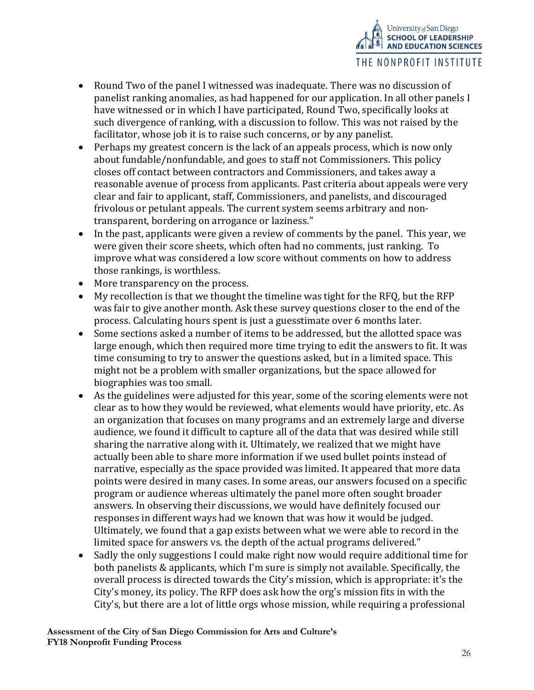

- Round Two of the panel I witnessed was inadequate. There was no discussion of panelist ranking anomalies, as had happened for our application. In all other panels I have witnessed or in which I have participated, Round Two, specifically looks at such divergence of ranking, with a discussion to follow. This was not raised by the facilitator, whose job it is to raise such concerns, or by any panelist.
- Perhaps my greatest concern is the lack of an appeals process, which is now only about fundable/nonfundable, and goes to staff not Commissioners. This policy closes off contact between contractors and Commissioners, and takes away a reasonable avenue of process from applicants. Past criteria about appeals were very clear and fair to applicant, staff, Commissioners, and panelists, and discouraged frivolous or petulant appeals. The current system seems arbitrary and nontransparent, bordering on arrogance or laziness."
- In the past, applicants were given a review of comments by the panel. This year, we were given their score sheets, which often had no comments, just ranking. To improve what was considered a low score without comments on how to address those rankings, is worthless.
- More transparency on the process.
- My recollection is that we thought the timeline was tight for the RFQ, but the RFP was fair to give another month. Ask these survey questions closer to the end of the process. Calculating hours spent is just a guesstimate over 6 months later.
- Some sections asked a number of items to be addressed, but the allotted space was large enough, which then required more time trying to edit the answers to fit. It was time consuming to try to answer the questions asked, but in a limited space. This might not be a problem with smaller organizations, but the space allowed for biographies was too small.
- As the guidelines were adjusted for this year, some of the scoring elements were not clear as to how they would be reviewed, what elements would have priority, etc. As an organization that focuses on many programs and an extremely large and diverse audience, we found it difficult to capture all of the data that was desired while still sharing the narrative along with it. Ultimately, we realized that we might have actually been able to share more information if we used bullet points instead of narrative, especially as the space provided was limited. It appeared that more data points were desired in many cases. In some areas, our answers focused on a specific program or audience whereas ultimately the panel more often sought broader answers. In observing their discussions, we would have definitely focused our responses in different ways had we known that was how it would be judged. Ultimately, we found that a gap exists between what we were able to record in the limited space for answers vs. the depth of the actual programs delivered."
- Sadly the only suggestions I could make right now would require additional time for both panelists & applicants, which I'm sure is simply not available. Specifically, the overall process is directed towards the City's mission, which is appropriate: it's the City's money, its policy. The RFP does ask how the org's mission fits in with the City's, but there are a lot of little orgs whose mission, while requiring a professional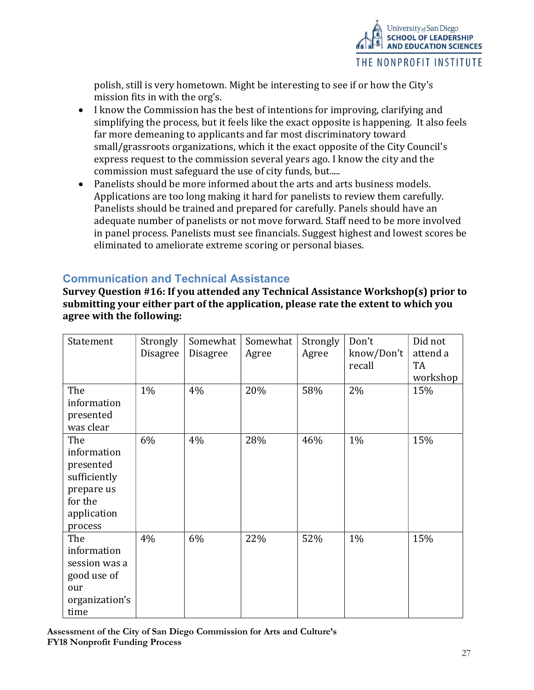

polish, still is very hometown. Might be interesting to see if or how the City's mission fits in with the org's.

- I know the Commission has the best of intentions for improving, clarifying and simplifying the process, but it feels like the exact opposite is happening. It also feels far more demeaning to applicants and far most discriminatory toward small/grassroots organizations, which it the exact opposite of the City Council's express request to the commission several years ago. I know the city and the commission must safeguard the use of city funds, but.....
- Panelists should be more informed about the arts and arts business models. Applications are too long making it hard for panelists to review them carefully. Panelists should be trained and prepared for carefully. Panels should have an adequate number of panelists or not move forward. Staff need to be more involved in panel process. Panelists must see financials. Suggest highest and lowest scores be eliminated to ameliorate extreme scoring or personal biases.

# Communication and Technical Assistance

Survey Question #16: If you attended any Technical Assistance Workshop(s) prior to submitting your either part of the application, please rate the extent to which you agree with the following:

| Statement      | Strongly        | Somewhat        | Somewhat | Strongly | Don't      | Did not  |
|----------------|-----------------|-----------------|----------|----------|------------|----------|
|                | <b>Disagree</b> | <b>Disagree</b> | Agree    | Agree    | know/Don't | attend a |
|                |                 |                 |          |          | recall     | TA       |
|                |                 |                 |          |          |            | workshop |
| The            | 1%              | 4%              | 20%      | 58%      | 2%         | 15%      |
| information    |                 |                 |          |          |            |          |
| presented      |                 |                 |          |          |            |          |
| was clear      |                 |                 |          |          |            |          |
| The            | 6%              | 4%              | 28%      | 46%      | 1%         | 15%      |
| information    |                 |                 |          |          |            |          |
| presented      |                 |                 |          |          |            |          |
| sufficiently   |                 |                 |          |          |            |          |
| prepare us     |                 |                 |          |          |            |          |
| for the        |                 |                 |          |          |            |          |
| application    |                 |                 |          |          |            |          |
| process        |                 |                 |          |          |            |          |
| The            | 4%              | 6%              | 22%      | 52%      | 1%         | 15%      |
| information    |                 |                 |          |          |            |          |
| session was a  |                 |                 |          |          |            |          |
| good use of    |                 |                 |          |          |            |          |
| our            |                 |                 |          |          |            |          |
| organization's |                 |                 |          |          |            |          |
| time           |                 |                 |          |          |            |          |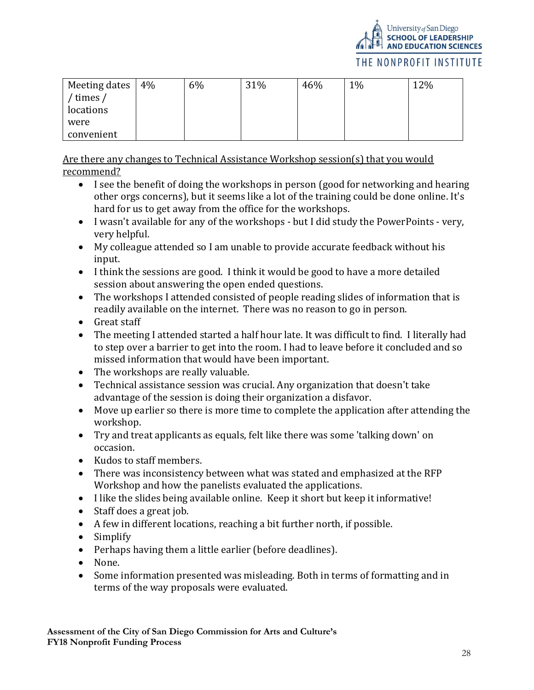

#### THE NONPROFIT INSTITUTE

| Meeting dates | 4% | 6% | 31% | 46% | $1\%$ | 12% |
|---------------|----|----|-----|-----|-------|-----|
| times /       |    |    |     |     |       |     |
| locations     |    |    |     |     |       |     |
| were          |    |    |     |     |       |     |
| convenient    |    |    |     |     |       |     |

Are there any changes to Technical Assistance Workshop session(s) that you would recommend?

- I see the benefit of doing the workshops in person (good for networking and hearing other orgs concerns), but it seems like a lot of the training could be done online. It's hard for us to get away from the office for the workshops.
- I wasn't available for any of the workshops but I did study the PowerPoints very, very helpful.
- My colleague attended so I am unable to provide accurate feedback without his input.
- I think the sessions are good. I think it would be good to have a more detailed session about answering the open ended questions.
- The workshops I attended consisted of people reading slides of information that is readily available on the internet. There was no reason to go in person.
- Great staff
- The meeting I attended started a half hour late. It was difficult to find. I literally had to step over a barrier to get into the room. I had to leave before it concluded and so missed information that would have been important.
- The workshops are really valuable.
- Technical assistance session was crucial. Any organization that doesn't take advantage of the session is doing their organization a disfavor.
- Move up earlier so there is more time to complete the application after attending the workshop.
- Try and treat applicants as equals, felt like there was some 'talking down' on occasion.
- Kudos to staff members.
- There was inconsistency between what was stated and emphasized at the RFP Workshop and how the panelists evaluated the applications.
- I like the slides being available online. Keep it short but keep it informative!
- Staff does a great job.
- A few in different locations, reaching a bit further north, if possible.
- Simplify
- Perhaps having them a little earlier (before deadlines).
- None.
- Some information presented was misleading. Both in terms of formatting and in terms of the way proposals were evaluated.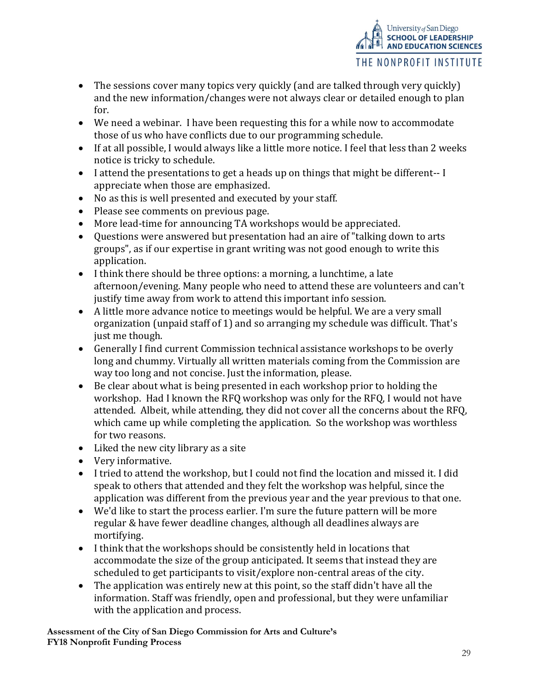- The sessions cover many topics very quickly (and are talked through very quickly) and the new information/changes were not always clear or detailed enough to plan for.
- We need a webinar. I have been requesting this for a while now to accommodate those of us who have conflicts due to our programming schedule.
- If at all possible, I would always like a little more notice. I feel that less than 2 weeks notice is tricky to schedule.
- I attend the presentations to get a heads up on things that might be different-- I appreciate when those are emphasized.
- No as this is well presented and executed by your staff.
- Please see comments on previous page.
- More lead-time for announcing TA workshops would be appreciated.
- Ouestions were answered but presentation had an aire of "talking down to arts groups", as if our expertise in grant writing was not good enough to write this application.
- I think there should be three options: a morning, a lunchtime, a late afternoon/evening. Many people who need to attend these are volunteers and can't justify time away from work to attend this important info session.
- A little more advance notice to meetings would be helpful. We are a very small organization (unpaid staff of 1) and so arranging my schedule was difficult. That's just me though.
- Generally I find current Commission technical assistance workshops to be overly long and chummy. Virtually all written materials coming from the Commission are way too long and not concise. Just the information, please.
- Be clear about what is being presented in each workshop prior to holding the workshop. Had I known the RFQ workshop was only for the RFQ, I would not have attended. Albeit, while attending, they did not cover all the concerns about the RFQ, which came up while completing the application. So the workshop was worthless for two reasons.
- Liked the new city library as a site
- Very informative.
- I tried to attend the workshop, but I could not find the location and missed it. I did speak to others that attended and they felt the workshop was helpful, since the application was different from the previous year and the year previous to that one.
- We'd like to start the process earlier. I'm sure the future pattern will be more regular & have fewer deadline changes, although all deadlines always are mortifying.
- I think that the workshops should be consistently held in locations that accommodate the size of the group anticipated. It seems that instead they are scheduled to get participants to visit/explore non-central areas of the city.
- The application was entirely new at this point, so the staff didn't have all the information. Staff was friendly, open and professional, but they were unfamiliar with the application and process.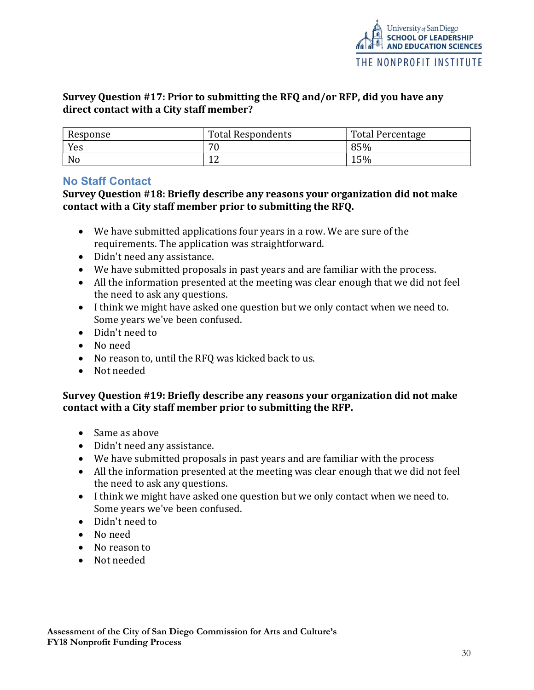# Survey Question #17: Prior to submitting the RFQ and/or RFP, did you have any direct contact with a City staff member?

| Response | <b>Total Respondents</b> | <b>Total Percentage</b> |
|----------|--------------------------|-------------------------|
| Yes      | 70                       | 85%                     |
| No       | $\sqrt{2}$               | 15%                     |

# No Staff Contact

Survey Question #18: Briefly describe any reasons your organization did not make contact with a City staff member prior to submitting the RFQ.

- We have submitted applications four years in a row. We are sure of the requirements. The application was straightforward.
- Didn't need any assistance.
- We have submitted proposals in past years and are familiar with the process.
- All the information presented at the meeting was clear enough that we did not feel the need to ask any questions.
- I think we might have asked one question but we only contact when we need to. Some years we've been confused.
- Didn't need to
- No need
- No reason to, until the RFQ was kicked back to us.
- Not needed

### Survey Question #19: Briefly describe any reasons your organization did not make contact with a City staff member prior to submitting the RFP.

- Same as above
- Didn't need any assistance.
- We have submitted proposals in past years and are familiar with the process
- All the information presented at the meeting was clear enough that we did not feel the need to ask any questions.
- I think we might have asked one question but we only contact when we need to. Some years we've been confused.
- Didn't need to
- No need
- No reason to
- Not needed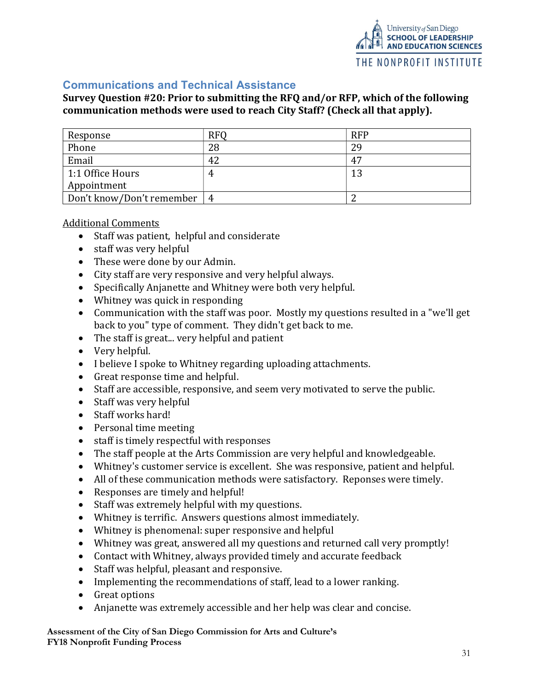

# Communications and Technical Assistance

### Survey Question #20: Prior to submitting the RFQ and/or RFP, which of the following communication methods were used to reach City Staff? (Check all that apply).

| Response                  | <b>RFQ</b> | <b>RFP</b> |
|---------------------------|------------|------------|
| Phone                     | 28         | 29         |
| Email                     | 42         | 47         |
| 1:1 Office Hours          | 4          | 13         |
| Appointment               |            |            |
| Don't know/Don't remember | 4          |            |

#### Additional Comments

- Staff was patient, helpful and considerate
- staff was very helpful
- These were done by our Admin.
- City staff are very responsive and very helpful always.
- Specifically Anjanette and Whitney were both very helpful.
- Whitney was quick in responding
- Communication with the staff was poor. Mostly my questions resulted in a "we'll get back to you" type of comment. They didn't get back to me.
- The staff is great... very helpful and patient
- Very helpful.
- I believe I spoke to Whitney regarding uploading attachments.
- Great response time and helpful.
- Staff are accessible, responsive, and seem very motivated to serve the public.
- Staff was very helpful
- Staff works hard!
- Personal time meeting
- staff is timely respectful with responses
- The staff people at the Arts Commission are very helpful and knowledgeable.
- Whitney's customer service is excellent. She was responsive, patient and helpful.
- All of these communication methods were satisfactory. Reponses were timely.
- Responses are timely and helpful!
- Staff was extremely helpful with my questions.
- Whitney is terrific. Answers questions almost immediately.
- Whitney is phenomenal: super responsive and helpful
- Whitney was great, answered all my questions and returned call very promptly!
- Contact with Whitney, always provided timely and accurate feedback
- Staff was helpful, pleasant and responsive.
- Implementing the recommendations of staff, lead to a lower ranking.
- Great options
- Anjanette was extremely accessible and her help was clear and concise.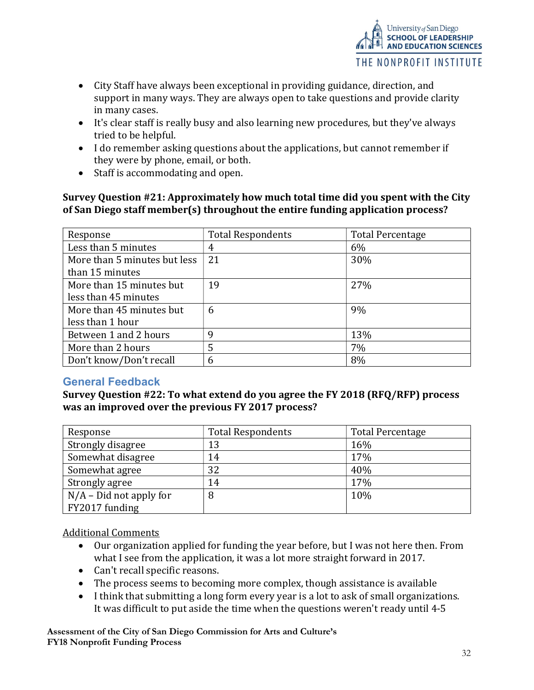

- City Staff have always been exceptional in providing guidance, direction, and support in many ways. They are always open to take questions and provide clarity in many cases.
- It's clear staff is really busy and also learning new procedures, but they've always tried to be helpful.
- I do remember asking questions about the applications, but cannot remember if they were by phone, email, or both.
- Staff is accommodating and open.

#### Survey Question #21: Approximately how much total time did you spent with the City of San Diego staff member(s) throughout the entire funding application process?

| Response                     | <b>Total Respondents</b> | <b>Total Percentage</b> |
|------------------------------|--------------------------|-------------------------|
| Less than 5 minutes          | 4                        | 6%                      |
| More than 5 minutes but less | 21                       | 30%                     |
| than 15 minutes              |                          |                         |
| More than 15 minutes but     | 19                       | 27%                     |
| less than 45 minutes         |                          |                         |
| More than 45 minutes but     | 6                        | 9%                      |
| less than 1 hour             |                          |                         |
| Between 1 and 2 hours        | 9                        | 13%                     |
| More than 2 hours            | 5                        | 7%                      |
| Don't know/Don't recall      | 6                        | 8%                      |

# General Feedback

### Survey Question #22: To what extend do you agree the FY 2018 (RFQ/RFP) process was an improved over the previous FY 2017 process?

| Response                  | <b>Total Respondents</b> | <b>Total Percentage</b> |
|---------------------------|--------------------------|-------------------------|
| Strongly disagree         | 13                       | 16%                     |
| Somewhat disagree         | 14                       | 17%                     |
| Somewhat agree            | 32                       | 40%                     |
| Strongly agree            | 14                       | 17%                     |
| $N/A$ – Did not apply for | 8                        | 10%                     |
| FY2017 funding            |                          |                         |

Additional Comments

- Our organization applied for funding the year before, but I was not here then. From what I see from the application, it was a lot more straight forward in 2017.
- Can't recall specific reasons.
- The process seems to becoming more complex, though assistance is available
- I think that submitting a long form every year is a lot to ask of small organizations. It was difficult to put aside the time when the questions weren't ready until 4-5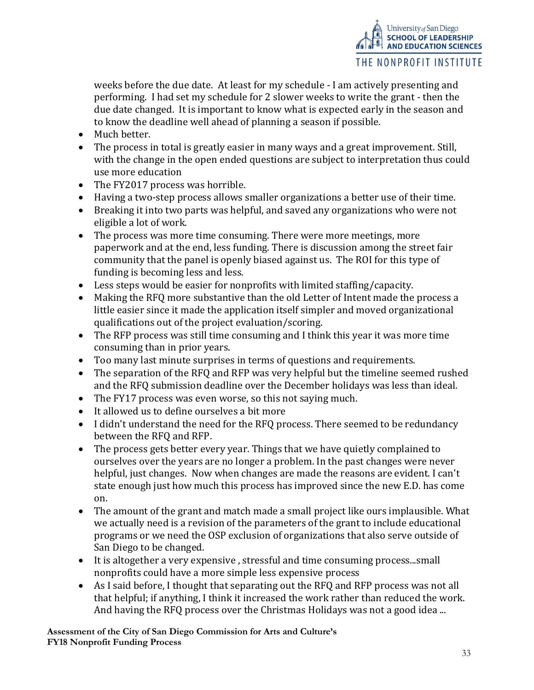weeks before the due date. At least for my schedule - I am actively presenting and performing. I had set my schedule for 2 slower weeks to write the grant - then the due date changed. It is important to know what is expected early in the season and to know the deadline well ahead of planning a season if possible.

University of San Diego<br>**SCHOOL OF LEADERSHIP AND EDUCATION SCIENCES** 

THE NONPROFIT INSTITUTE

- Much better.
- The process in total is greatly easier in many ways and a great improvement. Still, with the change in the open ended questions are subject to interpretation thus could use more education
- The FY2017 process was horrible.
- Having a two-step process allows smaller organizations a better use of their time.
- Breaking it into two parts was helpful, and saved any organizations who were not eligible a lot of work.
- The process was more time consuming. There were more meetings, more paperwork and at the end, less funding. There is discussion among the street fair community that the panel is openly biased against us. The ROI for this type of funding is becoming less and less.
- Less steps would be easier for nonprofits with limited staffing/capacity.
- Making the RFQ more substantive than the old Letter of Intent made the process a little easier since it made the application itself simpler and moved organizational qualifications out of the project evaluation/scoring.
- The RFP process was still time consuming and I think this year it was more time consuming than in prior years.
- Too many last minute surprises in terms of questions and requirements.
- The separation of the RFQ and RFP was very helpful but the timeline seemed rushed and the RFQ submission deadline over the December holidays was less than ideal.
- The FY17 process was even worse, so this not saying much.
- It allowed us to define ourselves a bit more
- I didn't understand the need for the RFQ process. There seemed to be redundancy between the RFQ and RFP.
- The process gets better every year. Things that we have quietly complained to ourselves over the years are no longer a problem. In the past changes were never helpful, just changes. Now when changes are made the reasons are evident. I can't state enough just how much this process has improved since the new E.D. has come on.
- The amount of the grant and match made a small project like ours implausible. What we actually need is a revision of the parameters of the grant to include educational programs or we need the OSP exclusion of organizations that also serve outside of San Diego to be changed.
- It is altogether a very expensive, stressful and time consuming process...small nonprofits could have a more simple less expensive process
- As I said before, I thought that separating out the RFQ and RFP process was not all that helpful; if anything, I think it increased the work rather than reduced the work. And having the RFQ process over the Christmas Holidays was not a good idea ...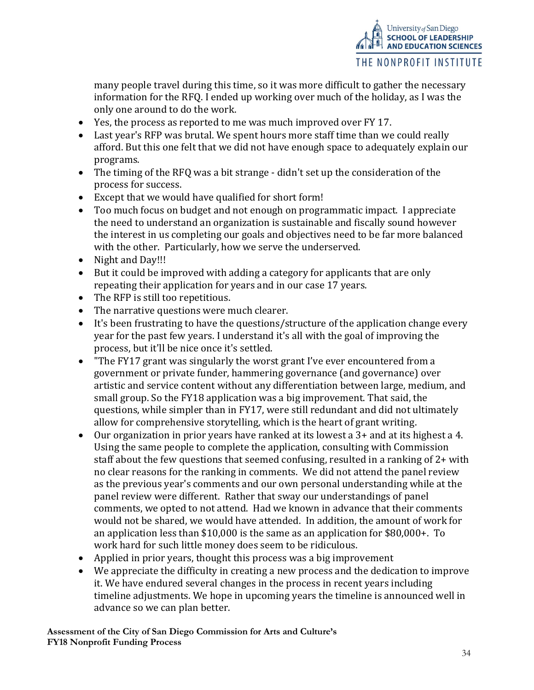

many people travel during this time, so it was more difficult to gather the necessary information for the RFQ. I ended up working over much of the holiday, as I was the only one around to do the work.

- Yes, the process as reported to me was much improved over FY 17.
- Last year's RFP was brutal. We spent hours more staff time than we could really afford. But this one felt that we did not have enough space to adequately explain our programs.
- The timing of the RFQ was a bit strange didn't set up the consideration of the process for success.
- Except that we would have qualified for short form!
- Too much focus on budget and not enough on programmatic impact. I appreciate the need to understand an organization is sustainable and fiscally sound however the interest in us completing our goals and objectives need to be far more balanced with the other. Particularly, how we serve the underserved.
- Night and Day!!!
- But it could be improved with adding a category for applicants that are only repeating their application for years and in our case 17 years.
- The RFP is still too repetitious.
- The narrative questions were much clearer.
- It's been frustrating to have the questions/structure of the application change every year for the past few years. I understand it's all with the goal of improving the process, but it'll be nice once it's settled.
- "The FY17 grant was singularly the worst grant I've ever encountered from a government or private funder, hammering governance (and governance) over artistic and service content without any differentiation between large, medium, and small group. So the FY18 application was a big improvement. That said, the questions, while simpler than in FY17, were still redundant and did not ultimately allow for comprehensive storytelling, which is the heart of grant writing.
- Our organization in prior years have ranked at its lowest a 3+ and at its highest a 4. Using the same people to complete the application, consulting with Commission staff about the few questions that seemed confusing, resulted in a ranking of 2+ with no clear reasons for the ranking in comments. We did not attend the panel review as the previous year's comments and our own personal understanding while at the panel review were different. Rather that sway our understandings of panel comments, we opted to not attend. Had we known in advance that their comments would not be shared, we would have attended. In addition, the amount of work for an application less than \$10,000 is the same as an application for \$80,000+. To work hard for such little money does seem to be ridiculous.
- Applied in prior years, thought this process was a big improvement
- We appreciate the difficulty in creating a new process and the dedication to improve it. We have endured several changes in the process in recent years including timeline adjustments. We hope in upcoming years the timeline is announced well in advance so we can plan better.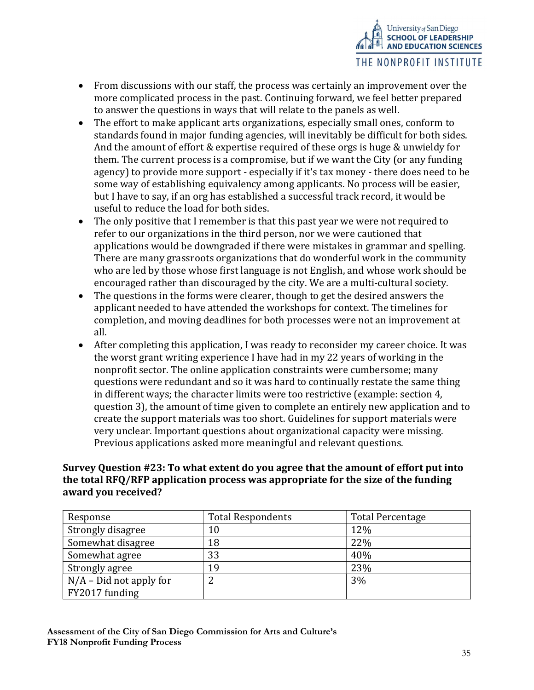

- From discussions with our staff, the process was certainly an improvement over the more complicated process in the past. Continuing forward, we feel better prepared to answer the questions in ways that will relate to the panels as well.
- The effort to make applicant arts organizations, especially small ones, conform to standards found in major funding agencies, will inevitably be difficult for both sides. And the amount of effort & expertise required of these orgs is huge & unwieldy for them. The current process is a compromise, but if we want the City (or any funding agency) to provide more support - especially if it's tax money - there does need to be some way of establishing equivalency among applicants. No process will be easier, but I have to say, if an org has established a successful track record, it would be useful to reduce the load for both sides.
- The only positive that I remember is that this past year we were not required to refer to our organizations in the third person, nor we were cautioned that applications would be downgraded if there were mistakes in grammar and spelling. There are many grassroots organizations that do wonderful work in the community who are led by those whose first language is not English, and whose work should be encouraged rather than discouraged by the city. We are a multi-cultural society.
- The questions in the forms were clearer, though to get the desired answers the applicant needed to have attended the workshops for context. The timelines for completion, and moving deadlines for both processes were not an improvement at all.
- After completing this application, I was ready to reconsider my career choice. It was the worst grant writing experience I have had in my 22 years of working in the nonprofit sector. The online application constraints were cumbersome; many questions were redundant and so it was hard to continually restate the same thing in different ways; the character limits were too restrictive (example: section 4, question 3), the amount of time given to complete an entirely new application and to create the support materials was too short. Guidelines for support materials were very unclear. Important questions about organizational capacity were missing. Previous applications asked more meaningful and relevant questions.

# Survey Question #23: To what extent do you agree that the amount of effort put into the total RFQ/RFP application process was appropriate for the size of the funding award you received?

| Response                  | <b>Total Respondents</b> | <b>Total Percentage</b> |
|---------------------------|--------------------------|-------------------------|
| Strongly disagree         | 10                       | 12%                     |
| Somewhat disagree         | 18                       | 22%                     |
| Somewhat agree            | 33                       | 40%                     |
| Strongly agree            | 19                       | 23%                     |
| $N/A$ – Did not apply for |                          | 3%                      |
| FY2017 funding            |                          |                         |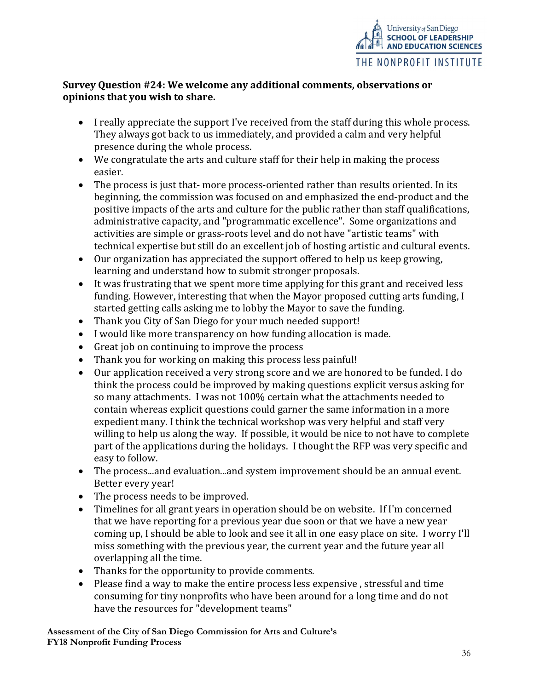

# Survey Question #24: We welcome any additional comments, observations or opinions that you wish to share.

- I really appreciate the support I've received from the staff during this whole process. They always got back to us immediately, and provided a calm and very helpful presence during the whole process.
- We congratulate the arts and culture staff for their help in making the process easier.
- The process is just that-more process-oriented rather than results oriented. In its beginning, the commission was focused on and emphasized the end-product and the positive impacts of the arts and culture for the public rather than staff qualifications, administrative capacity, and "programmatic excellence". Some organizations and activities are simple or grass-roots level and do not have "artistic teams" with technical expertise but still do an excellent job of hosting artistic and cultural events.
- Our organization has appreciated the support offered to help us keep growing, learning and understand how to submit stronger proposals.
- It was frustrating that we spent more time applying for this grant and received less funding. However, interesting that when the Mayor proposed cutting arts funding, I started getting calls asking me to lobby the Mayor to save the funding.
- Thank you City of San Diego for your much needed support!
- I would like more transparency on how funding allocation is made.
- Great job on continuing to improve the process
- Thank you for working on making this process less painful!
- Our application received a very strong score and we are honored to be funded. I do think the process could be improved by making questions explicit versus asking for so many attachments. I was not 100% certain what the attachments needed to contain whereas explicit questions could garner the same information in a more expedient many. I think the technical workshop was very helpful and staff very willing to help us along the way. If possible, it would be nice to not have to complete part of the applications during the holidays. I thought the RFP was very specific and easy to follow.
- The process...and evaluation...and system improvement should be an annual event. Better every year!
- The process needs to be improved.
- Timelines for all grant years in operation should be on website. If I'm concerned that we have reporting for a previous year due soon or that we have a new year coming up, I should be able to look and see it all in one easy place on site. I worry I'll miss something with the previous year, the current year and the future year all overlapping all the time.
- Thanks for the opportunity to provide comments.
- Please find a way to make the entire process less expensive , stressful and time consuming for tiny nonprofits who have been around for a long time and do not have the resources for "development teams"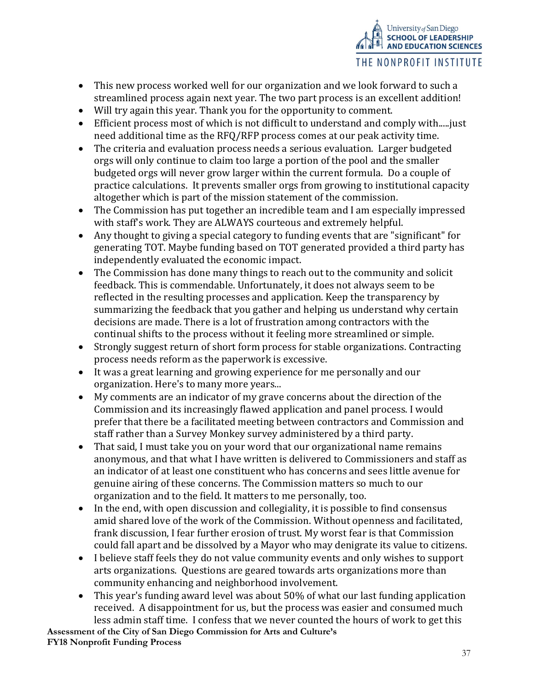- This new process worked well for our organization and we look forward to such a streamlined process again next year. The two part process is an excellent addition!
- Will try again this year. Thank you for the opportunity to comment.
- Efficient process most of which is not difficult to understand and comply with.....just need additional time as the RFQ/RFP process comes at our peak activity time.
- The criteria and evaluation process needs a serious evaluation. Larger budgeted orgs will only continue to claim too large a portion of the pool and the smaller budgeted orgs will never grow larger within the current formula. Do a couple of practice calculations. It prevents smaller orgs from growing to institutional capacity altogether which is part of the mission statement of the commission.
- The Commission has put together an incredible team and I am especially impressed with staff's work. They are ALWAYS courteous and extremely helpful.
- Any thought to giving a special category to funding events that are "significant" for generating TOT. Maybe funding based on TOT generated provided a third party has independently evaluated the economic impact.
- The Commission has done many things to reach out to the community and solicit feedback. This is commendable. Unfortunately, it does not always seem to be reflected in the resulting processes and application. Keep the transparency by summarizing the feedback that you gather and helping us understand why certain decisions are made. There is a lot of frustration among contractors with the continual shifts to the process without it feeling more streamlined or simple.
- Strongly suggest return of short form process for stable organizations. Contracting process needs reform as the paperwork is excessive.
- It was a great learning and growing experience for me personally and our organization. Here's to many more years...
- My comments are an indicator of my grave concerns about the direction of the Commission and its increasingly flawed application and panel process. I would prefer that there be a facilitated meeting between contractors and Commission and staff rather than a Survey Monkey survey administered by a third party.
- That said, I must take you on your word that our organizational name remains anonymous, and that what I have written is delivered to Commissioners and staff as an indicator of at least one constituent who has concerns and sees little avenue for genuine airing of these concerns. The Commission matters so much to our organization and to the field. It matters to me personally, too.
- In the end, with open discussion and collegiality, it is possible to find consensus amid shared love of the work of the Commission. Without openness and facilitated, frank discussion, I fear further erosion of trust. My worst fear is that Commission could fall apart and be dissolved by a Mayor who may denigrate its value to citizens.
- I believe staff feels they do not value community events and only wishes to support arts organizations. Questions are geared towards arts organizations more than community enhancing and neighborhood involvement.
- This year's funding award level was about 50% of what our last funding application received. A disappointment for us, but the process was easier and consumed much less admin staff time. I confess that we never counted the hours of work to get this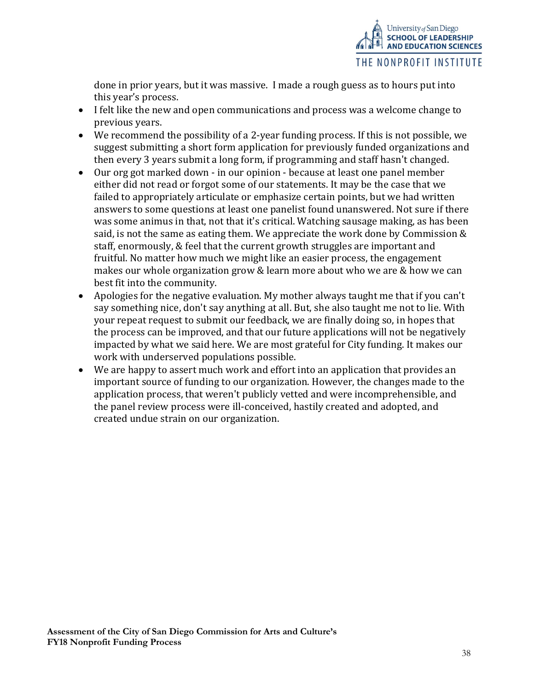

done in prior years, but it was massive. I made a rough guess as to hours put into this year's process.

- I felt like the new and open communications and process was a welcome change to previous years.
- We recommend the possibility of a 2-year funding process. If this is not possible, we suggest submitting a short form application for previously funded organizations and then every 3 years submit a long form, if programming and staff hasn't changed.
- Our org got marked down in our opinion because at least one panel member either did not read or forgot some of our statements. It may be the case that we failed to appropriately articulate or emphasize certain points, but we had written answers to some questions at least one panelist found unanswered. Not sure if there was some animus in that, not that it's critical. Watching sausage making, as has been said, is not the same as eating them. We appreciate the work done by Commission & staff, enormously, & feel that the current growth struggles are important and fruitful. No matter how much we might like an easier process, the engagement makes our whole organization grow & learn more about who we are & how we can best fit into the community.
- Apologies for the negative evaluation. My mother always taught me that if you can't say something nice, don't say anything at all. But, she also taught me not to lie. With your repeat request to submit our feedback, we are finally doing so, in hopes that the process can be improved, and that our future applications will not be negatively impacted by what we said here. We are most grateful for City funding. It makes our work with underserved populations possible.
- We are happy to assert much work and effort into an application that provides an important source of funding to our organization. However, the changes made to the application process, that weren't publicly vetted and were incomprehensible, and the panel review process were ill-conceived, hastily created and adopted, and created undue strain on our organization.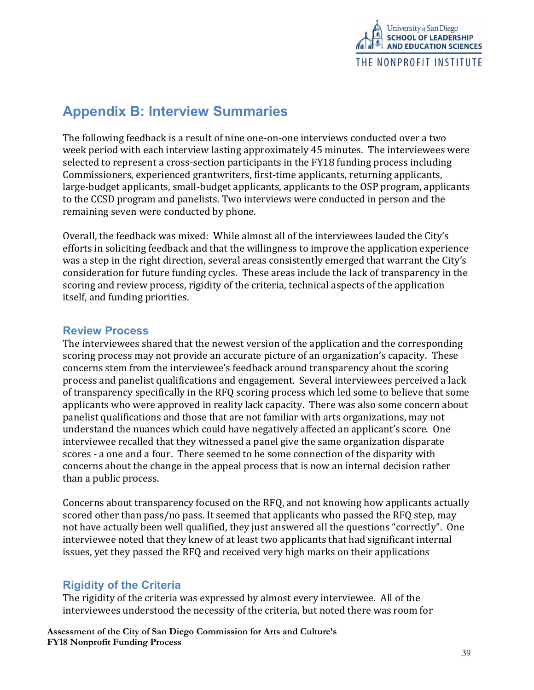

# Appendix B: Interview Summaries

The following feedback is a result of nine one-on-one interviews conducted over a two week period with each interview lasting approximately 45 minutes. The interviewees were selected to represent a cross-section participants in the FY18 funding process including Commissioners, experienced grantwriters, first-time applicants, returning applicants, large-budget applicants, small-budget applicants, applicants to the OSP program, applicants to the CCSD program and panelists. Two interviews were conducted in person and the remaining seven were conducted by phone.

Overall, the feedback was mixed: While almost all of the interviewees lauded the City's efforts in soliciting feedback and that the willingness to improve the application experience was a step in the right direction, several areas consistently emerged that warrant the City's consideration for future funding cycles. These areas include the lack of transparency in the scoring and review process, rigidity of the criteria, technical aspects of the application itself, and funding priorities.

# Review Process

The interviewees shared that the newest version of the application and the corresponding scoring process may not provide an accurate picture of an organization's capacity. These concerns stem from the interviewee's feedback around transparency about the scoring process and panelist qualifications and engagement. Several interviewees perceived a lack of transparency specifically in the RFQ scoring process which led some to believe that some applicants who were approved in reality lack capacity. There was also some concern about panelist qualifications and those that are not familiar with arts organizations, may not understand the nuances which could have negatively affected an applicant's score. One interviewee recalled that they witnessed a panel give the same organization disparate scores - a one and a four. There seemed to be some connection of the disparity with concerns about the change in the appeal process that is now an internal decision rather than a public process.

Concerns about transparency focused on the RFQ, and not knowing how applicants actually scored other than pass/no pass. It seemed that applicants who passed the RFQ step, may not have actually been well qualified, they just answered all the questions "correctly". One interviewee noted that they knew of at least two applicants that had significant internal issues, yet they passed the RFQ and received very high marks on their applications

# Rigidity of the Criteria

The rigidity of the criteria was expressed by almost every interviewee. All of the interviewees understood the necessity of the criteria, but noted there was room for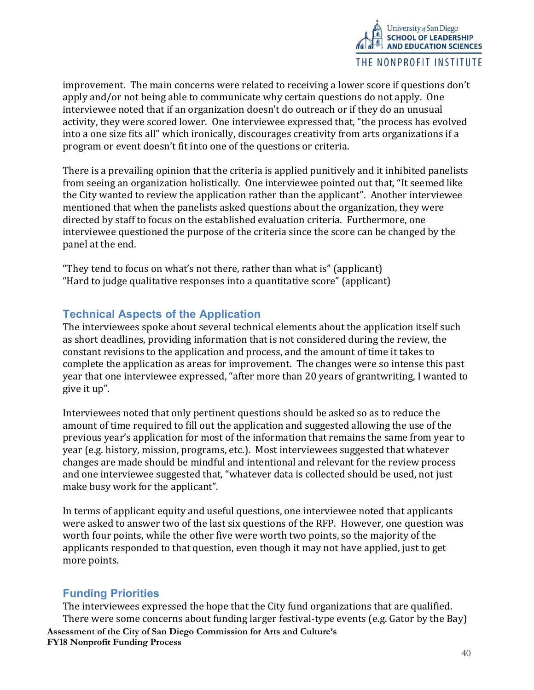

improvement. The main concerns were related to receiving a lower score if questions don't apply and/or not being able to communicate why certain questions do not apply. One interviewee noted that if an organization doesn't do outreach or if they do an unusual activity, they were scored lower. One interviewee expressed that, "the process has evolved into a one size fits all" which ironically, discourages creativity from arts organizations if a program or event doesn't fit into one of the questions or criteria.

There is a prevailing opinion that the criteria is applied punitively and it inhibited panelists from seeing an organization holistically. One interviewee pointed out that, "It seemed like the City wanted to review the application rather than the applicant". Another interviewee mentioned that when the panelists asked questions about the organization, they were directed by staff to focus on the established evaluation criteria. Furthermore, one interviewee questioned the purpose of the criteria since the score can be changed by the panel at the end.

"They tend to focus on what's not there, rather than what is" (applicant) "Hard to judge qualitative responses into a quantitative score" (applicant)

# Technical Aspects of the Application

The interviewees spoke about several technical elements about the application itself such as short deadlines, providing information that is not considered during the review, the constant revisions to the application and process, and the amount of time it takes to complete the application as areas for improvement. The changes were so intense this past year that one interviewee expressed, "after more than 20 years of grantwriting, I wanted to give it up".

Interviewees noted that only pertinent questions should be asked so as to reduce the amount of time required to fill out the application and suggested allowing the use of the previous year's application for most of the information that remains the same from year to year (e.g. history, mission, programs, etc.). Most interviewees suggested that whatever changes are made should be mindful and intentional and relevant for the review process and one interviewee suggested that, "whatever data is collected should be used, not just make busy work for the applicant".

In terms of applicant equity and useful questions, one interviewee noted that applicants were asked to answer two of the last six questions of the RFP. However, one question was worth four points, while the other five were worth two points, so the majority of the applicants responded to that question, even though it may not have applied, just to get more points.

### Funding Priorities

Assessment of the City of San Diego Commission for Arts and Culture's FY18 Nonprofit Funding Process The interviewees expressed the hope that the City fund organizations that are qualified. There were some concerns about funding larger festival-type events (e.g. Gator by the Bay)